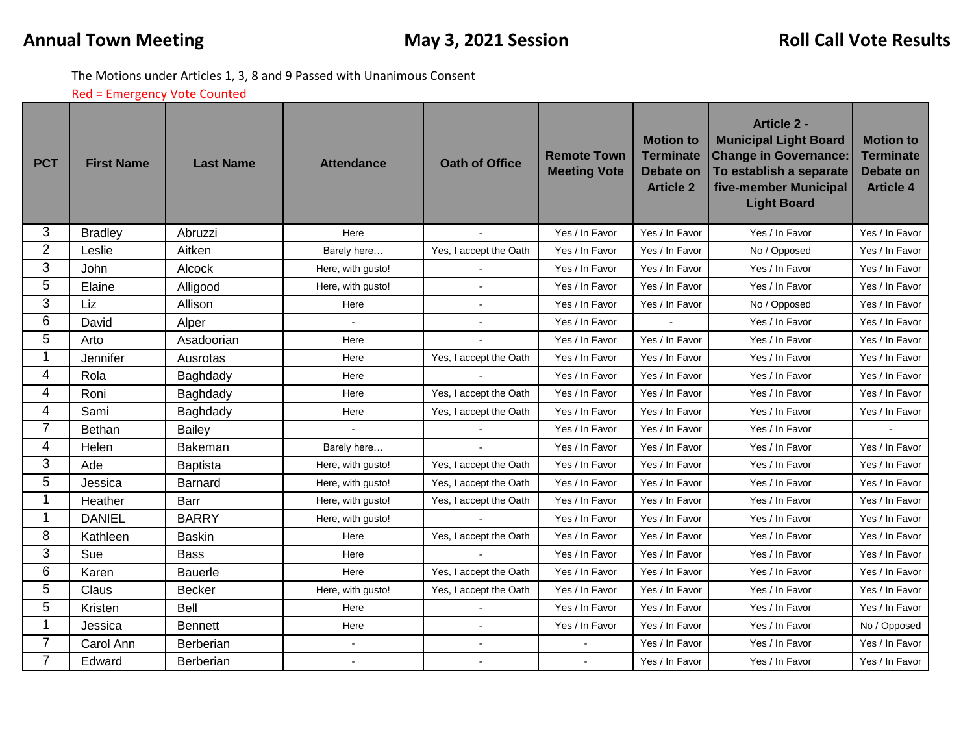The Motions under Articles 1, 3, 8 and 9 Passed with Unanimous Consent

Red = Emergency Vote Counted

| <b>PCT</b>     | <b>First Name</b> | <b>Last Name</b> | <b>Attendance</b> | <b>Oath of Office</b>  | <b>Remote Town</b><br><b>Meeting Vote</b> | <b>Motion to</b><br><b>Terminate</b><br><b>Debate on</b><br><b>Article 2</b> | <b>Article 2 -</b><br><b>Municipal Light Board</b><br><b>Change in Governance:</b><br>To establish a separate<br>five-member Municipal<br><b>Light Board</b> | <b>Motion to</b><br><b>Terminate</b><br><b>Debate on</b><br><b>Article 4</b> |
|----------------|-------------------|------------------|-------------------|------------------------|-------------------------------------------|------------------------------------------------------------------------------|--------------------------------------------------------------------------------------------------------------------------------------------------------------|------------------------------------------------------------------------------|
| 3              | <b>Bradley</b>    | Abruzzi          | Here              |                        | Yes / In Favor                            | Yes / In Favor                                                               | Yes / In Favor                                                                                                                                               | Yes / In Favor                                                               |
| $\overline{2}$ | Leslie            | Aitken           | Barely here       | Yes, I accept the Oath | Yes / In Favor                            | Yes / In Favor                                                               | No / Opposed                                                                                                                                                 | Yes / In Favor                                                               |
| 3              | John              | Alcock           | Here, with gusto! |                        | Yes / In Favor                            | Yes / In Favor                                                               | Yes / In Favor                                                                                                                                               | Yes / In Favor                                                               |
| 5              | Elaine            | Alligood         | Here, with gusto! |                        | Yes / In Favor                            | Yes / In Favor                                                               | Yes / In Favor                                                                                                                                               | Yes / In Favor                                                               |
| 3              | Liz               | Allison          | Here              |                        | Yes / In Favor                            | Yes / In Favor                                                               | No / Opposed                                                                                                                                                 | Yes / In Favor                                                               |
| 6              | David             | Alper            |                   |                        | Yes / In Favor                            |                                                                              | Yes / In Favor                                                                                                                                               | Yes / In Favor                                                               |
| 5              | Arto              | Asadoorian       | Here              |                        | Yes / In Favor                            | Yes / In Favor                                                               | Yes / In Favor                                                                                                                                               | Yes / In Favor                                                               |
| 1              | Jennifer          | Ausrotas         | Here              | Yes, I accept the Oath | Yes / In Favor                            | Yes / In Favor                                                               | Yes / In Favor                                                                                                                                               | Yes / In Favor                                                               |
| 4              | Rola              | Baghdady         | Here              |                        | Yes / In Favor                            | Yes / In Favor                                                               | Yes / In Favor                                                                                                                                               | Yes / In Favor                                                               |
| 4              | Roni              | Baghdady         | Here              | Yes, I accept the Oath | Yes / In Favor                            | Yes / In Favor                                                               | Yes / In Favor                                                                                                                                               | Yes / In Favor                                                               |
| 4              | Sami              | Baghdady         | Here              | Yes, I accept the Oath | Yes / In Favor                            | Yes / In Favor                                                               | Yes / In Favor                                                                                                                                               | Yes / In Favor                                                               |
| $\overline{7}$ | Bethan            | Bailey           |                   |                        | Yes / In Favor                            | Yes / In Favor                                                               | Yes / In Favor                                                                                                                                               |                                                                              |
| 4              | Helen             | <b>Bakeman</b>   | Barely here       |                        | Yes / In Favor                            | Yes / In Favor                                                               | Yes / In Favor                                                                                                                                               | Yes / In Favor                                                               |
| 3              | Ade               | Baptista         | Here, with gusto! | Yes, I accept the Oath | Yes / In Favor                            | Yes / In Favor                                                               | Yes / In Favor                                                                                                                                               | Yes / In Favor                                                               |
| 5              | Jessica           | Barnard          | Here, with gusto! | Yes, I accept the Oath | Yes / In Favor                            | Yes / In Favor                                                               | Yes / In Favor                                                                                                                                               | Yes / In Favor                                                               |
| 1              | Heather           | Barr             | Here, with gusto! | Yes, I accept the Oath | Yes / In Favor                            | Yes / In Favor                                                               | Yes / In Favor                                                                                                                                               | Yes / In Favor                                                               |
| 1              | <b>DANIEL</b>     | <b>BARRY</b>     | Here, with gusto! |                        | Yes / In Favor                            | Yes / In Favor                                                               | Yes / In Favor                                                                                                                                               | Yes / In Favor                                                               |
| 8              | Kathleen          | <b>Baskin</b>    | Here              | Yes, I accept the Oath | Yes / In Favor                            | Yes / In Favor                                                               | Yes / In Favor                                                                                                                                               | Yes / In Favor                                                               |
| 3              | Sue               | <b>Bass</b>      | Here              |                        | Yes / In Favor                            | Yes / In Favor                                                               | Yes / In Favor                                                                                                                                               | Yes / In Favor                                                               |
| 6              | Karen             | <b>Bauerle</b>   | Here              | Yes, I accept the Oath | Yes / In Favor                            | Yes / In Favor                                                               | Yes / In Favor                                                                                                                                               | Yes / In Favor                                                               |
| 5              | Claus             | <b>Becker</b>    | Here, with gusto! | Yes, I accept the Oath | Yes / In Favor                            | Yes / In Favor                                                               | Yes / In Favor                                                                                                                                               | Yes / In Favor                                                               |
| 5              | Kristen           | <b>Bell</b>      | Here              |                        | Yes / In Favor                            | Yes / In Favor                                                               | Yes / In Favor                                                                                                                                               | Yes / In Favor                                                               |
| 1              | Jessica           | <b>Bennett</b>   | Here              |                        | Yes / In Favor                            | Yes / In Favor                                                               | Yes / In Favor                                                                                                                                               | No / Opposed                                                                 |
| 7              | Carol Ann         | Berberian        |                   |                        |                                           | Yes / In Favor                                                               | Yes / In Favor                                                                                                                                               | Yes / In Favor                                                               |
| $\overline{7}$ | Edward            | Berberian        |                   |                        | $\mathbf{r}$                              | Yes / In Favor                                                               | Yes / In Favor                                                                                                                                               | Yes / In Favor                                                               |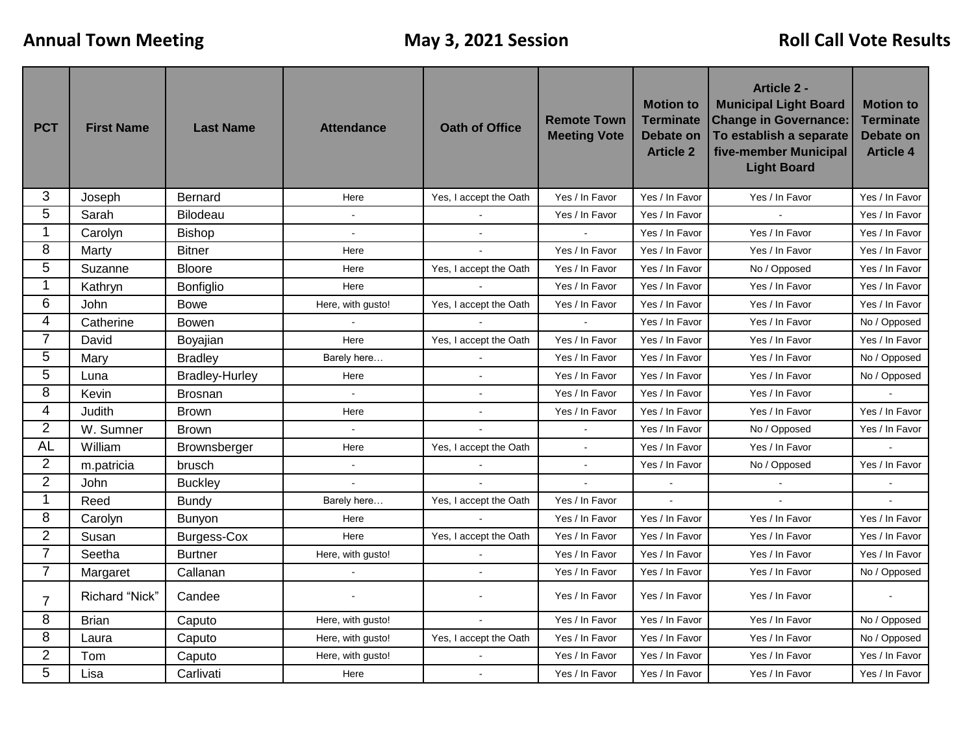| <b>PCT</b>     | <b>First Name</b> | <b>Last Name</b>      | <b>Attendance</b> | <b>Oath of Office</b>  | <b>Remote Town</b><br><b>Meeting Vote</b> | <b>Motion to</b><br><b>Terminate</b><br><b>Debate on</b><br><b>Article 2</b> | <b>Article 2 -</b><br><b>Municipal Light Board</b><br><b>Change in Governance:</b><br>To establish a separate<br>five-member Municipal<br><b>Light Board</b> | <b>Motion to</b><br><b>Terminate</b><br><b>Debate on</b><br><b>Article 4</b> |
|----------------|-------------------|-----------------------|-------------------|------------------------|-------------------------------------------|------------------------------------------------------------------------------|--------------------------------------------------------------------------------------------------------------------------------------------------------------|------------------------------------------------------------------------------|
| 3              | Joseph            | Bernard               | Here              | Yes, I accept the Oath | Yes / In Favor                            | Yes / In Favor                                                               | Yes / In Favor                                                                                                                                               | Yes / In Favor                                                               |
| 5              | Sarah             | Bilodeau              | $\sim$            |                        | Yes / In Favor                            | Yes / In Favor                                                               |                                                                                                                                                              | Yes / In Favor                                                               |
| 1              | Carolyn           | Bishop                |                   |                        |                                           | Yes / In Favor                                                               | Yes / In Favor                                                                                                                                               | Yes / In Favor                                                               |
| 8              | Marty             | <b>Bitner</b>         | Here              |                        | Yes / In Favor                            | Yes / In Favor                                                               | Yes / In Favor                                                                                                                                               | Yes / In Favor                                                               |
| 5              | Suzanne           | <b>Bloore</b>         | Here              | Yes, I accept the Oath | Yes / In Favor                            | Yes / In Favor                                                               | No / Opposed                                                                                                                                                 | Yes / In Favor                                                               |
| 1              | Kathryn           | Bonfiglio             | Here              |                        | Yes / In Favor                            | Yes / In Favor                                                               | Yes / In Favor                                                                                                                                               | Yes / In Favor                                                               |
| 6              | John              | <b>Bowe</b>           | Here, with gusto! | Yes, I accept the Oath | Yes / In Favor                            | Yes / In Favor                                                               | Yes / In Favor                                                                                                                                               | Yes / In Favor                                                               |
| 4              | Catherine         | <b>Bowen</b>          |                   |                        |                                           | Yes / In Favor                                                               | Yes / In Favor                                                                                                                                               | No / Opposed                                                                 |
| 7              | David             | Boyajian              | Here              | Yes, I accept the Oath | Yes / In Favor                            | Yes / In Favor                                                               | Yes / In Favor                                                                                                                                               | Yes / In Favor                                                               |
| 5              | Mary              | <b>Bradley</b>        | Barely here       |                        | Yes / In Favor                            | Yes / In Favor                                                               | Yes / In Favor                                                                                                                                               | No / Opposed                                                                 |
| 5              | Luna              | <b>Bradley-Hurley</b> | Here              | $\blacksquare$         | Yes / In Favor                            | Yes / In Favor                                                               | Yes / In Favor                                                                                                                                               | No / Opposed                                                                 |
| 8              | Kevin             | <b>Brosnan</b>        | $\mathbf{r}$      |                        | Yes / In Favor                            | Yes / In Favor                                                               | Yes / In Favor                                                                                                                                               |                                                                              |
| 4              | Judith            | <b>Brown</b>          | Here              |                        | Yes / In Favor                            | Yes / In Favor                                                               | Yes / In Favor                                                                                                                                               | Yes / In Favor                                                               |
| $\overline{2}$ | W. Sumner         | <b>Brown</b>          | $\mathbf{r}$      |                        |                                           | Yes / In Favor                                                               | No / Opposed                                                                                                                                                 | Yes / In Favor                                                               |
| <b>AL</b>      | William           | Brownsberger          | Here              | Yes, I accept the Oath |                                           | Yes / In Favor                                                               | Yes / In Favor                                                                                                                                               |                                                                              |
| $\overline{2}$ | m.patricia        | brusch                |                   |                        |                                           | Yes / In Favor                                                               | No / Opposed                                                                                                                                                 | Yes / In Favor                                                               |
| $\overline{2}$ | John              | <b>Buckley</b>        |                   |                        | $\tilde{\phantom{a}}$                     |                                                                              | $\overline{\phantom{a}}$                                                                                                                                     |                                                                              |
| 1              | Reed              | <b>Bundy</b>          | Barely here       | Yes, I accept the Oath | Yes / In Favor                            | $\overline{a}$                                                               |                                                                                                                                                              |                                                                              |
| 8              | Carolyn           | Bunyon                | Here              |                        | Yes / In Favor                            | Yes / In Favor                                                               | Yes / In Favor                                                                                                                                               | Yes / In Favor                                                               |
| $\overline{2}$ | Susan             | <b>Burgess-Cox</b>    | Here              | Yes, I accept the Oath | Yes / In Favor                            | Yes / In Favor                                                               | Yes / In Favor                                                                                                                                               | Yes / In Favor                                                               |
| $\overline{7}$ | Seetha            | <b>Burtner</b>        | Here, with gusto! |                        | Yes / In Favor                            | Yes / In Favor                                                               | Yes / In Favor                                                                                                                                               | Yes / In Favor                                                               |
| $\overline{7}$ | Margaret          | Callanan              |                   |                        | Yes / In Favor                            | Yes / In Favor                                                               | Yes / In Favor                                                                                                                                               | No / Opposed                                                                 |
| 7              | Richard "Nick"    | Candee                | $\overline{a}$    |                        | Yes / In Favor                            | Yes / In Favor                                                               | Yes / In Favor                                                                                                                                               | $\overline{a}$                                                               |
| 8              | <b>Brian</b>      | Caputo                | Here, with gusto! |                        | Yes / In Favor                            | Yes / In Favor                                                               | Yes / In Favor                                                                                                                                               | No / Opposed                                                                 |
| 8              | Laura             | Caputo                | Here, with gusto! | Yes, I accept the Oath | Yes / In Favor                            | Yes / In Favor                                                               | Yes / In Favor                                                                                                                                               | No / Opposed                                                                 |
| $\overline{2}$ | Tom               | Caputo                | Here, with gusto! |                        | Yes / In Favor                            | Yes / In Favor                                                               | Yes / In Favor                                                                                                                                               | Yes / In Favor                                                               |
| 5              | Lisa              | Carlivati             | Here              | $\sim$                 | Yes / In Favor                            | Yes / In Favor                                                               | Yes / In Favor                                                                                                                                               | Yes / In Favor                                                               |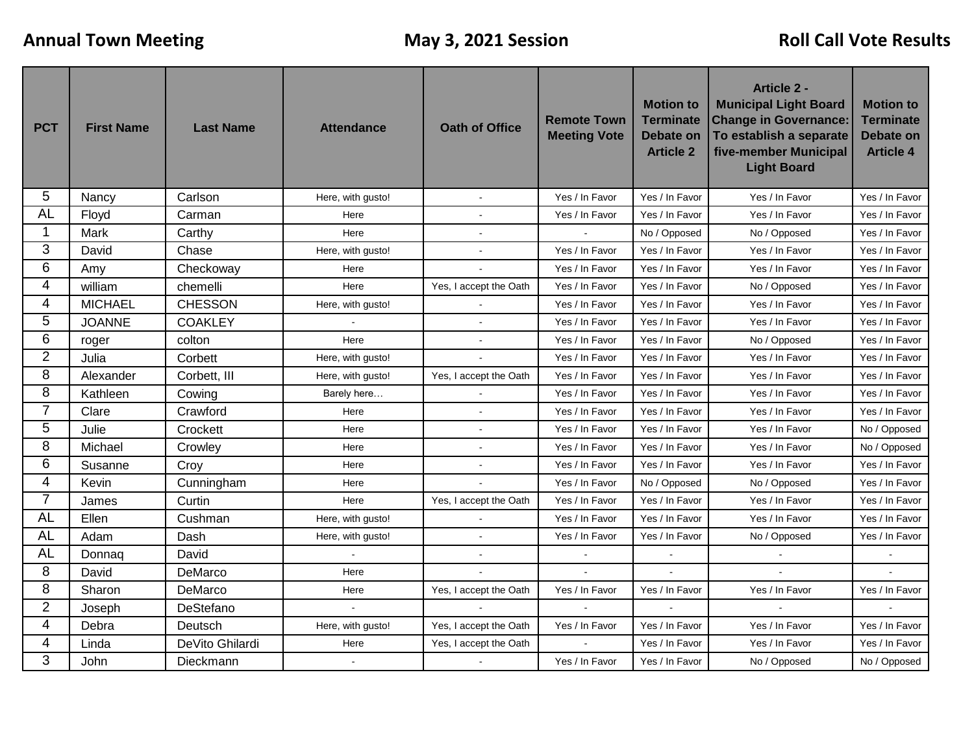| <b>PCT</b>     | <b>First Name</b> | <b>Last Name</b> | <b>Attendance</b> | <b>Oath of Office</b>  | <b>Remote Town</b><br><b>Meeting Vote</b> | <b>Motion to</b><br><b>Terminate</b><br><b>Debate on</b><br><b>Article 2</b> | <b>Article 2 -</b><br><b>Municipal Light Board</b><br><b>Change in Governance:</b><br>To establish a separate<br>five-member Municipal<br><b>Light Board</b> | <b>Motion to</b><br><b>Terminate</b><br><b>Debate on</b><br><b>Article 4</b> |
|----------------|-------------------|------------------|-------------------|------------------------|-------------------------------------------|------------------------------------------------------------------------------|--------------------------------------------------------------------------------------------------------------------------------------------------------------|------------------------------------------------------------------------------|
| 5              | Nancy             | Carlson          | Here, with gusto! |                        | Yes / In Favor                            | Yes / In Favor                                                               | Yes / In Favor                                                                                                                                               | Yes / In Favor                                                               |
| <b>AL</b>      | Floyd             | Carman           | Here              | $\overline{a}$         | Yes / In Favor                            | Yes / In Favor                                                               | Yes / In Favor                                                                                                                                               | Yes / In Favor                                                               |
| 1              | Mark              | Carthy           | Here              |                        |                                           | No / Opposed                                                                 | No / Opposed                                                                                                                                                 | Yes / In Favor                                                               |
| 3              | David             | Chase            | Here, with gusto! |                        | Yes / In Favor                            | Yes / In Favor                                                               | Yes / In Favor                                                                                                                                               | Yes / In Favor                                                               |
| 6              | Amy               | Checkoway        | Here              |                        | Yes / In Favor                            | Yes / In Favor                                                               | Yes / In Favor                                                                                                                                               | Yes / In Favor                                                               |
| 4              | william           | chemelli         | Here              | Yes, I accept the Oath | Yes / In Favor                            | Yes / In Favor                                                               | No / Opposed                                                                                                                                                 | Yes / In Favor                                                               |
| 4              | <b>MICHAEL</b>    | <b>CHESSON</b>   | Here, with gusto! |                        | Yes / In Favor                            | Yes / In Favor                                                               | Yes / In Favor                                                                                                                                               | Yes / In Favor                                                               |
| 5              | <b>JOANNE</b>     | <b>COAKLEY</b>   |                   |                        | Yes / In Favor                            | Yes / In Favor                                                               | Yes / In Favor                                                                                                                                               | Yes / In Favor                                                               |
| 6              | roger             | colton           | Here              |                        | Yes / In Favor                            | Yes / In Favor                                                               | No / Opposed                                                                                                                                                 | Yes / In Favor                                                               |
| $\overline{2}$ | Julia             | Corbett          | Here, with gusto! |                        | Yes / In Favor                            | Yes / In Favor                                                               | Yes / In Favor                                                                                                                                               | Yes / In Favor                                                               |
| 8              | Alexander         | Corbett, III     | Here, with gusto! | Yes, I accept the Oath | Yes / In Favor                            | Yes / In Favor                                                               | Yes / In Favor                                                                                                                                               | Yes / In Favor                                                               |
| 8              | Kathleen          | Cowing           | Barely here       |                        | Yes / In Favor                            | Yes / In Favor                                                               | Yes / In Favor                                                                                                                                               | Yes / In Favor                                                               |
| $\overline{7}$ | Clare             | Crawford         | Here              |                        | Yes / In Favor                            | Yes / In Favor                                                               | Yes / In Favor                                                                                                                                               | Yes / In Favor                                                               |
| 5              | Julie             | Crockett         | Here              |                        | Yes / In Favor                            | Yes / In Favor                                                               | Yes / In Favor                                                                                                                                               | No / Opposed                                                                 |
| 8              | Michael           | Crowley          | Here              |                        | Yes / In Favor                            | Yes / In Favor                                                               | Yes / In Favor                                                                                                                                               | No / Opposed                                                                 |
| 6              | Susanne           | Croy             | Here              | $\sim$                 | Yes / In Favor                            | Yes / In Favor                                                               | Yes / In Favor                                                                                                                                               | Yes / In Favor                                                               |
| 4              | Kevin             | Cunningham       | Here              |                        | Yes / In Favor                            | No / Opposed                                                                 | No / Opposed                                                                                                                                                 | Yes / In Favor                                                               |
| $\overline{7}$ | James             | Curtin           | Here              | Yes, I accept the Oath | Yes / In Favor                            | Yes / In Favor                                                               | Yes / In Favor                                                                                                                                               | Yes / In Favor                                                               |
| <b>AL</b>      | Ellen             | Cushman          | Here, with gusto! |                        | Yes / In Favor                            | Yes / In Favor                                                               | Yes / In Favor                                                                                                                                               | Yes / In Favor                                                               |
| <b>AL</b>      | Adam              | Dash             | Here, with gusto! |                        | Yes / In Favor                            | Yes / In Favor                                                               | No / Opposed                                                                                                                                                 | Yes / In Favor                                                               |
| <b>AL</b>      | Donnag            | David            | $\mathbf{r}$      | $\mathbf{r}$           | $\omega$                                  | $\ddot{\phantom{a}}$                                                         | $\overline{a}$                                                                                                                                               |                                                                              |
| 8              | David             | DeMarco          | Here              |                        |                                           |                                                                              |                                                                                                                                                              |                                                                              |
| 8              | Sharon            | DeMarco          | Here              | Yes, I accept the Oath | Yes / In Favor                            | Yes / In Favor                                                               | Yes / In Favor                                                                                                                                               | Yes / In Favor                                                               |
| $\overline{2}$ | Joseph            | DeStefano        |                   |                        |                                           |                                                                              |                                                                                                                                                              |                                                                              |
| 4              | Debra             | Deutsch          | Here, with gusto! | Yes, I accept the Oath | Yes / In Favor                            | Yes / In Favor                                                               | Yes / In Favor                                                                                                                                               | Yes / In Favor                                                               |
| 4              | Linda             | DeVito Ghilardi  | Here              | Yes, I accept the Oath |                                           | Yes / In Favor                                                               | Yes / In Favor                                                                                                                                               | Yes / In Favor                                                               |
| 3              | John              | Dieckmann        | $\mathbf{r}$      |                        | Yes / In Favor                            | Yes / In Favor                                                               | No / Opposed                                                                                                                                                 | No / Opposed                                                                 |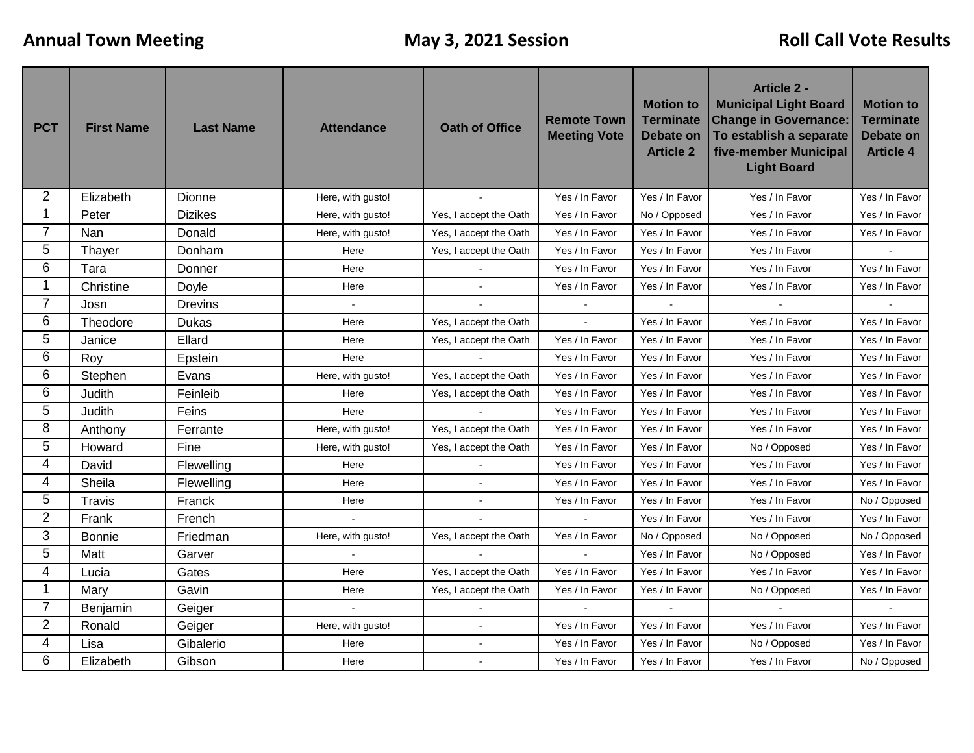| <b>PCT</b>     | <b>First Name</b> | <b>Last Name</b> | <b>Attendance</b> | <b>Oath of Office</b>  | <b>Remote Town</b><br><b>Meeting Vote</b> | <b>Motion to</b><br><b>Terminate</b><br><b>Debate on</b><br><b>Article 2</b> | <b>Article 2 -</b><br><b>Municipal Light Board</b><br><b>Change in Governance:</b><br>To establish a separate<br>five-member Municipal<br><b>Light Board</b> | <b>Motion to</b><br><b>Terminate</b><br><b>Debate on</b><br><b>Article 4</b> |
|----------------|-------------------|------------------|-------------------|------------------------|-------------------------------------------|------------------------------------------------------------------------------|--------------------------------------------------------------------------------------------------------------------------------------------------------------|------------------------------------------------------------------------------|
| $\overline{2}$ | Elizabeth         | Dionne           | Here, with gusto! |                        | Yes / In Favor                            | Yes / In Favor                                                               | Yes / In Favor                                                                                                                                               | Yes / In Favor                                                               |
| 1              | Peter             | <b>Dizikes</b>   | Here, with gusto! | Yes, I accept the Oath | Yes / In Favor                            | No / Opposed                                                                 | Yes / In Favor                                                                                                                                               | Yes / In Favor                                                               |
| $\overline{7}$ | Nan               | Donald           | Here, with gusto! | Yes, I accept the Oath | Yes / In Favor                            | Yes / In Favor                                                               | Yes / In Favor                                                                                                                                               | Yes / In Favor                                                               |
| 5              | Thayer            | Donham           | Here              | Yes, I accept the Oath | Yes / In Favor                            | Yes / In Favor                                                               | Yes / In Favor                                                                                                                                               |                                                                              |
| 6              | Tara              | Donner           | Here              |                        | Yes / In Favor                            | Yes / In Favor                                                               | Yes / In Favor                                                                                                                                               | Yes / In Favor                                                               |
| 1              | Christine         | Doyle            | Here              |                        | Yes / In Favor                            | Yes / In Favor                                                               | Yes / In Favor                                                                                                                                               | Yes / In Favor                                                               |
| $\overline{7}$ | Josn              | Drevins          |                   |                        |                                           |                                                                              |                                                                                                                                                              |                                                                              |
| 6              | Theodore          | <b>Dukas</b>     | Here              | Yes, I accept the Oath | $\sim$                                    | Yes / In Favor                                                               | Yes / In Favor                                                                                                                                               | Yes / In Favor                                                               |
| 5              | Janice            | Ellard           | Here              | Yes, I accept the Oath | Yes / In Favor                            | Yes / In Favor                                                               | Yes / In Favor                                                                                                                                               | Yes / In Favor                                                               |
| 6              | Roy               | Epstein          | Here              |                        | Yes / In Favor                            | Yes / In Favor                                                               | Yes / In Favor                                                                                                                                               | Yes / In Favor                                                               |
| 6              | Stephen           | Evans            | Here, with gusto! | Yes, I accept the Oath | Yes / In Favor                            | Yes / In Favor                                                               | Yes / In Favor                                                                                                                                               | Yes / In Favor                                                               |
| 6              | Judith            | Feinleib         | Here              | Yes, I accept the Oath | Yes / In Favor                            | Yes / In Favor                                                               | Yes / In Favor                                                                                                                                               | Yes / In Favor                                                               |
| 5              | Judith            | Feins            | Here              |                        | Yes / In Favor                            | Yes / In Favor                                                               | Yes / In Favor                                                                                                                                               | Yes / In Favor                                                               |
| 8              | Anthony           | Ferrante         | Here, with gusto! | Yes, I accept the Oath | Yes / In Favor                            | Yes / In Favor                                                               | Yes / In Favor                                                                                                                                               | Yes / In Favor                                                               |
| 5              | Howard            | Fine             | Here, with gusto! | Yes, I accept the Oath | Yes / In Favor                            | Yes / In Favor                                                               | No / Opposed                                                                                                                                                 | Yes / In Favor                                                               |
| 4              | David             | Flewelling       | Here              |                        | Yes / In Favor                            | Yes / In Favor                                                               | Yes / In Favor                                                                                                                                               | Yes / In Favor                                                               |
| 4              | Sheila            | Flewelling       | Here              | $\ddot{\phantom{a}}$   | Yes / In Favor                            | Yes / In Favor                                                               | Yes / In Favor                                                                                                                                               | Yes / In Favor                                                               |
| 5              | <b>Travis</b>     | Franck           | Here              |                        | Yes / In Favor                            | Yes / In Favor                                                               | Yes / In Favor                                                                                                                                               | No / Opposed                                                                 |
| $\overline{2}$ | Frank             | French           | $\sim$            |                        |                                           | Yes / In Favor                                                               | Yes / In Favor                                                                                                                                               | Yes / In Favor                                                               |
| 3              | Bonnie            | Friedman         | Here, with gusto! | Yes, I accept the Oath | Yes / In Favor                            | No / Opposed                                                                 | No / Opposed                                                                                                                                                 | No / Opposed                                                                 |
| 5              | Matt              | Garver           | $\omega$          | $\mathbf{r}$           | $\tilde{\phantom{a}}$                     | Yes / In Favor                                                               | No / Opposed                                                                                                                                                 | Yes / In Favor                                                               |
| 4              | Lucia             | Gates            | Here              | Yes, I accept the Oath | Yes / In Favor                            | Yes / In Favor                                                               | Yes / In Favor                                                                                                                                               | Yes / In Favor                                                               |
| $\mathbf 1$    | Mary              | Gavin            | Here              | Yes, I accept the Oath | Yes / In Favor                            | Yes / In Favor                                                               | No / Opposed                                                                                                                                                 | Yes / In Favor                                                               |
| 7              | Benjamin          | Geiger           |                   |                        |                                           |                                                                              |                                                                                                                                                              |                                                                              |
| 2              | Ronald            | Geiger           | Here, with gusto! |                        | Yes / In Favor                            | Yes / In Favor                                                               | Yes / In Favor                                                                                                                                               | Yes / In Favor                                                               |
| 4              | Lisa              | Gibalerio        | Here              |                        | Yes / In Favor                            | Yes / In Favor                                                               | No / Opposed                                                                                                                                                 | Yes / In Favor                                                               |
| 6              | Elizabeth         | Gibson           | Here              | $\overline{a}$         | Yes / In Favor                            | Yes / In Favor                                                               | Yes / In Favor                                                                                                                                               | No / Opposed                                                                 |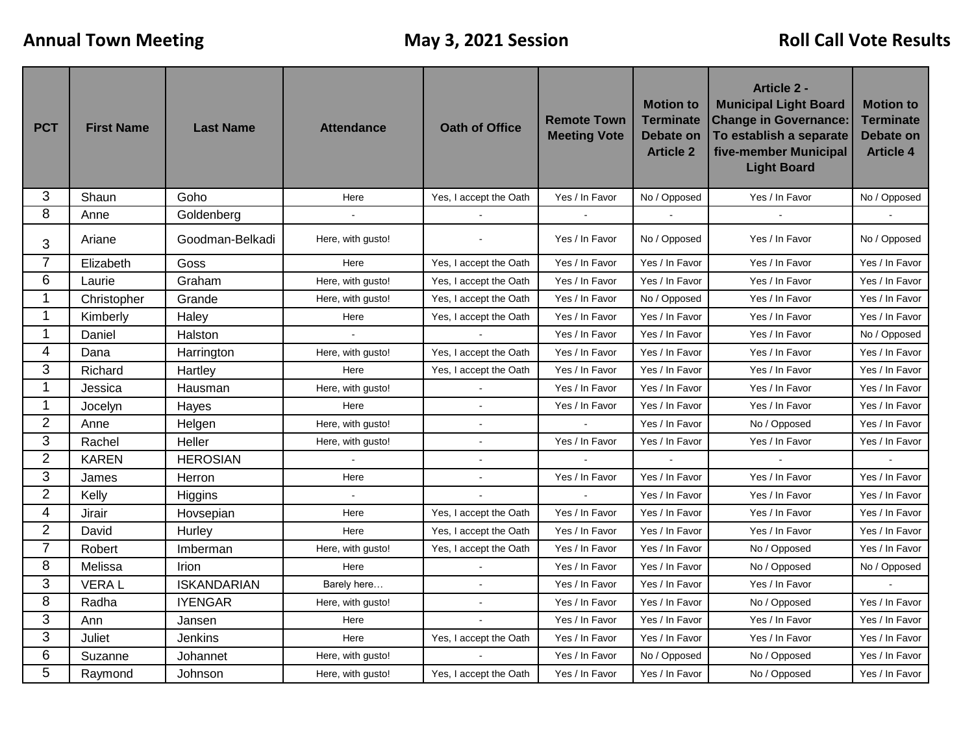| <b>PCT</b>     | <b>First Name</b> | <b>Last Name</b>   | <b>Attendance</b> | <b>Oath of Office</b>  | <b>Remote Town</b><br><b>Meeting Vote</b> | <b>Motion to</b><br><b>Terminate</b><br><b>Debate on</b><br><b>Article 2</b> | <b>Article 2 -</b><br><b>Municipal Light Board</b><br><b>Change in Governance:</b><br>To establish a separate<br>five-member Municipal<br><b>Light Board</b> | <b>Motion to</b><br><b>Terminate</b><br><b>Debate on</b><br><b>Article 4</b> |
|----------------|-------------------|--------------------|-------------------|------------------------|-------------------------------------------|------------------------------------------------------------------------------|--------------------------------------------------------------------------------------------------------------------------------------------------------------|------------------------------------------------------------------------------|
| 3              | Shaun             | Goho               | Here              | Yes, I accept the Oath | Yes / In Favor                            | No / Opposed                                                                 | Yes / In Favor                                                                                                                                               | No / Opposed                                                                 |
| 8              | Anne              | Goldenberg         |                   |                        |                                           |                                                                              |                                                                                                                                                              |                                                                              |
| 3              | Ariane            | Goodman-Belkadi    | Here, with gusto! |                        | Yes / In Favor                            | No / Opposed                                                                 | Yes / In Favor                                                                                                                                               | No / Opposed                                                                 |
| $\overline{7}$ | Elizabeth         | Goss               | Here              | Yes, I accept the Oath | Yes / In Favor                            | Yes / In Favor                                                               | Yes / In Favor                                                                                                                                               | Yes / In Favor                                                               |
| 6              | Laurie            | Graham             | Here, with gusto! | Yes, I accept the Oath | Yes / In Favor                            | Yes / In Favor                                                               | Yes / In Favor                                                                                                                                               | Yes / In Favor                                                               |
| 1              | Christopher       | Grande             | Here, with gusto! | Yes, I accept the Oath | Yes / In Favor                            | No / Opposed                                                                 | Yes / In Favor                                                                                                                                               | Yes / In Favor                                                               |
| 1              | Kimberly          | Haley              | Here              | Yes, I accept the Oath | Yes / In Favor                            | Yes / In Favor                                                               | Yes / In Favor                                                                                                                                               | Yes / In Favor                                                               |
| 1              | Daniel            | Halston            | $\sim$            | $\mathbf{r}$           | Yes / In Favor                            | Yes / In Favor                                                               | Yes / In Favor                                                                                                                                               | No / Opposed                                                                 |
| 4              | Dana              | Harrington         | Here, with gusto! | Yes, I accept the Oath | Yes / In Favor                            | Yes / In Favor                                                               | Yes / In Favor                                                                                                                                               | Yes / In Favor                                                               |
| 3              | Richard           | Hartley            | Here              | Yes, I accept the Oath | Yes / In Favor                            | Yes / In Favor                                                               | Yes / In Favor                                                                                                                                               | Yes / In Favor                                                               |
| 1              | Jessica           | Hausman            | Here, with gusto! |                        | Yes / In Favor                            | Yes / In Favor                                                               | Yes / In Favor                                                                                                                                               | Yes / In Favor                                                               |
| 1              | Jocelyn           | Hayes              | Here              |                        | Yes / In Favor                            | Yes / In Favor                                                               | Yes / In Favor                                                                                                                                               | Yes / In Favor                                                               |
| $\overline{2}$ | Anne              | Helgen             | Here, with gusto! |                        |                                           | Yes / In Favor                                                               | No / Opposed                                                                                                                                                 | Yes / In Favor                                                               |
| 3              | Rachel            | Heller             | Here, with gusto! | ÷,                     | Yes / In Favor                            | Yes / In Favor                                                               | Yes / In Favor                                                                                                                                               | Yes / In Favor                                                               |
| $\overline{2}$ | <b>KAREN</b>      | <b>HEROSIAN</b>    |                   |                        |                                           |                                                                              |                                                                                                                                                              |                                                                              |
| 3              | James             | Herron             | Here              |                        | Yes / In Favor                            | Yes / In Favor                                                               | Yes / In Favor                                                                                                                                               | Yes / In Favor                                                               |
| $\overline{2}$ | Kelly             | Higgins            | $\mathbf{r}$      |                        |                                           | Yes / In Favor                                                               | Yes / In Favor                                                                                                                                               | Yes / In Favor                                                               |
| 4              | Jirair            | Hovsepian          | Here              | Yes, I accept the Oath | Yes / In Favor                            | Yes / In Favor                                                               | Yes / In Favor                                                                                                                                               | Yes / In Favor                                                               |
| $\overline{2}$ | David             | Hurley             | Here              | Yes, I accept the Oath | Yes / In Favor                            | Yes / In Favor                                                               | Yes / In Favor                                                                                                                                               | Yes / In Favor                                                               |
| $\overline{7}$ | Robert            | Imberman           | Here, with gusto! | Yes, I accept the Oath | Yes / In Favor                            | Yes / In Favor                                                               | No / Opposed                                                                                                                                                 | Yes / In Favor                                                               |
| 8              | Melissa           | Irion              | Here              |                        | Yes / In Favor                            | Yes / In Favor                                                               | No / Opposed                                                                                                                                                 | No / Opposed                                                                 |
| 3              | <b>VERAL</b>      | <b>ISKANDARIAN</b> | Barely here       |                        | Yes / In Favor                            | Yes / In Favor                                                               | Yes / In Favor                                                                                                                                               |                                                                              |
| 8              | Radha             | <b>IYENGAR</b>     | Here, with gusto! |                        | Yes / In Favor                            | Yes / In Favor                                                               | No / Opposed                                                                                                                                                 | Yes / In Favor                                                               |
| 3              | Ann               | Jansen             | Here              |                        | Yes / In Favor                            | Yes / In Favor                                                               | Yes / In Favor                                                                                                                                               | Yes / In Favor                                                               |
| 3              | Juliet            | Jenkins            | Here              | Yes, I accept the Oath | Yes / In Favor                            | Yes / In Favor                                                               | Yes / In Favor                                                                                                                                               | Yes / In Favor                                                               |
| 6              | Suzanne           | Johannet           | Here, with gusto! |                        | Yes / In Favor                            | No / Opposed                                                                 | No / Opposed                                                                                                                                                 | Yes / In Favor                                                               |
| 5              | Raymond           | Johnson            | Here, with gusto! | Yes, I accept the Oath | Yes / In Favor                            | Yes / In Favor                                                               | No / Opposed                                                                                                                                                 | Yes / In Favor                                                               |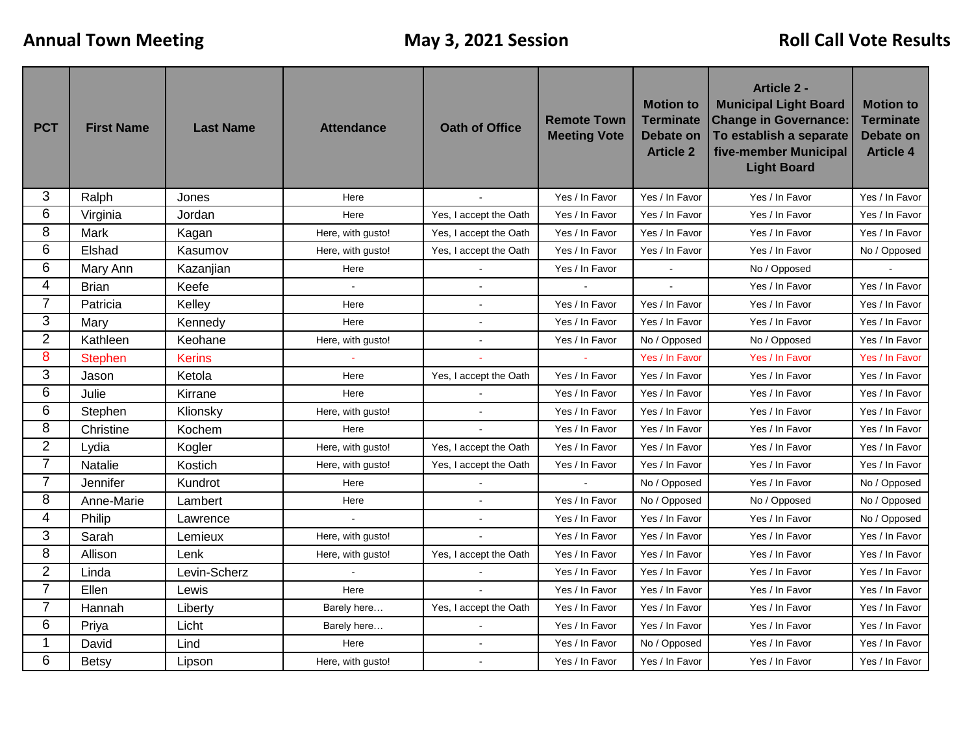| <b>PCT</b>     | <b>First Name</b> | <b>Last Name</b> | <b>Attendance</b> | <b>Oath of Office</b>  | <b>Remote Town</b><br><b>Meeting Vote</b> | <b>Motion to</b><br><b>Terminate</b><br><b>Debate on</b><br><b>Article 2</b> | <b>Article 2 -</b><br><b>Municipal Light Board</b><br><b>Change in Governance:</b><br>To establish a separate<br>five-member Municipal<br><b>Light Board</b> | <b>Motion to</b><br><b>Terminate</b><br><b>Debate on</b><br><b>Article 4</b> |
|----------------|-------------------|------------------|-------------------|------------------------|-------------------------------------------|------------------------------------------------------------------------------|--------------------------------------------------------------------------------------------------------------------------------------------------------------|------------------------------------------------------------------------------|
| 3              | Ralph             | Jones            | Here              |                        | Yes / In Favor                            | Yes / In Favor                                                               | Yes / In Favor                                                                                                                                               | Yes / In Favor                                                               |
| 6              | Virginia          | Jordan           | Here              | Yes, I accept the Oath | Yes / In Favor                            | Yes / In Favor                                                               | Yes / In Favor                                                                                                                                               | Yes / In Favor                                                               |
| 8              | Mark              | Kagan            | Here, with gusto! | Yes, I accept the Oath | Yes / In Favor                            | Yes / In Favor                                                               | Yes / In Favor                                                                                                                                               | Yes / In Favor                                                               |
| 6              | Elshad            | Kasumov          | Here, with gusto! | Yes, I accept the Oath | Yes / In Favor                            | Yes / In Favor                                                               | Yes / In Favor                                                                                                                                               | No / Opposed                                                                 |
| 6              | Mary Ann          | Kazanjian        | Here              |                        | Yes / In Favor                            |                                                                              | No / Opposed                                                                                                                                                 |                                                                              |
| 4              | <b>Brian</b>      | Keefe            |                   |                        |                                           |                                                                              | Yes / In Favor                                                                                                                                               | Yes / In Favor                                                               |
| 7              | Patricia          | Kelley           | Here              |                        | Yes / In Favor                            | Yes / In Favor                                                               | Yes / In Favor                                                                                                                                               | Yes / In Favor                                                               |
| 3              | Mary              | Kennedy          | Here              |                        | Yes / In Favor                            | Yes / In Favor                                                               | Yes / In Favor                                                                                                                                               | Yes / In Favor                                                               |
| $\overline{2}$ | Kathleen          | Keohane          | Here, with gusto! |                        | Yes / In Favor                            | No / Opposed                                                                 | No / Opposed                                                                                                                                                 | Yes / In Favor                                                               |
| 8              | <b>Stephen</b>    | <b>Kerins</b>    |                   |                        |                                           | Yes / In Favor                                                               | Yes / In Favor                                                                                                                                               | Yes / In Favor                                                               |
| 3              | Jason             | Ketola           | Here              | Yes, I accept the Oath | Yes / In Favor                            | Yes / In Favor                                                               | Yes / In Favor                                                                                                                                               | Yes / In Favor                                                               |
| 6              | Julie             | Kirrane          | Here              |                        | Yes / In Favor                            | Yes / In Favor                                                               | Yes / In Favor                                                                                                                                               | Yes / In Favor                                                               |
| 6              | Stephen           | Klionsky         | Here, with gusto! |                        | Yes / In Favor                            | Yes / In Favor                                                               | Yes / In Favor                                                                                                                                               | Yes / In Favor                                                               |
| 8              | Christine         | Kochem           | Here              |                        | Yes / In Favor                            | Yes / In Favor                                                               | Yes / In Favor                                                                                                                                               | Yes / In Favor                                                               |
| $\overline{2}$ | Lydia             | Kogler           | Here, with gusto! | Yes, I accept the Oath | Yes / In Favor                            | Yes / In Favor                                                               | Yes / In Favor                                                                                                                                               | Yes / In Favor                                                               |
| $\overline{7}$ | Natalie           | Kostich          | Here, with gusto! | Yes, I accept the Oath | Yes / In Favor                            | Yes / In Favor                                                               | Yes / In Favor                                                                                                                                               | Yes / In Favor                                                               |
| 7              | Jennifer          | Kundrot          | Here              |                        |                                           | No / Opposed                                                                 | Yes / In Favor                                                                                                                                               | No / Opposed                                                                 |
| 8              | Anne-Marie        | Lambert          | Here              |                        | Yes / In Favor                            | No / Opposed                                                                 | No / Opposed                                                                                                                                                 | No / Opposed                                                                 |
| 4              | Philip            | Lawrence         |                   |                        | Yes / In Favor                            | Yes / In Favor                                                               | Yes / In Favor                                                                                                                                               | No / Opposed                                                                 |
| 3              | Sarah             | Lemieux          | Here, with gusto! |                        | Yes / In Favor                            | Yes / In Favor                                                               | Yes / In Favor                                                                                                                                               | Yes / In Favor                                                               |
| 8              | Allison           | Lenk             | Here, with gusto! | Yes, I accept the Oath | Yes / In Favor                            | Yes / In Favor                                                               | Yes / In Favor                                                                                                                                               | Yes / In Favor                                                               |
| $\overline{2}$ | Linda             | Levin-Scherz     |                   |                        | Yes / In Favor                            | Yes / In Favor                                                               | Yes / In Favor                                                                                                                                               | Yes / In Favor                                                               |
| $\overline{7}$ | Ellen             | Lewis            | Here              |                        | Yes / In Favor                            | Yes / In Favor                                                               | Yes / In Favor                                                                                                                                               | Yes / In Favor                                                               |
| 7              | Hannah            | Liberty          | Barely here       | Yes, I accept the Oath | Yes / In Favor                            | Yes / In Favor                                                               | Yes / In Favor                                                                                                                                               | Yes / In Favor                                                               |
| 6              | Priya             | Licht            | Barely here       |                        | Yes / In Favor                            | Yes / In Favor                                                               | Yes / In Favor                                                                                                                                               | Yes / In Favor                                                               |
|                | David             | Lind             | Here              |                        | Yes / In Favor                            | No / Opposed                                                                 | Yes / In Favor                                                                                                                                               | Yes / In Favor                                                               |
| 6              | <b>Betsy</b>      | Lipson           | Here, with gusto! | $\overline{a}$         | Yes / In Favor                            | Yes / In Favor                                                               | Yes / In Favor                                                                                                                                               | Yes / In Favor                                                               |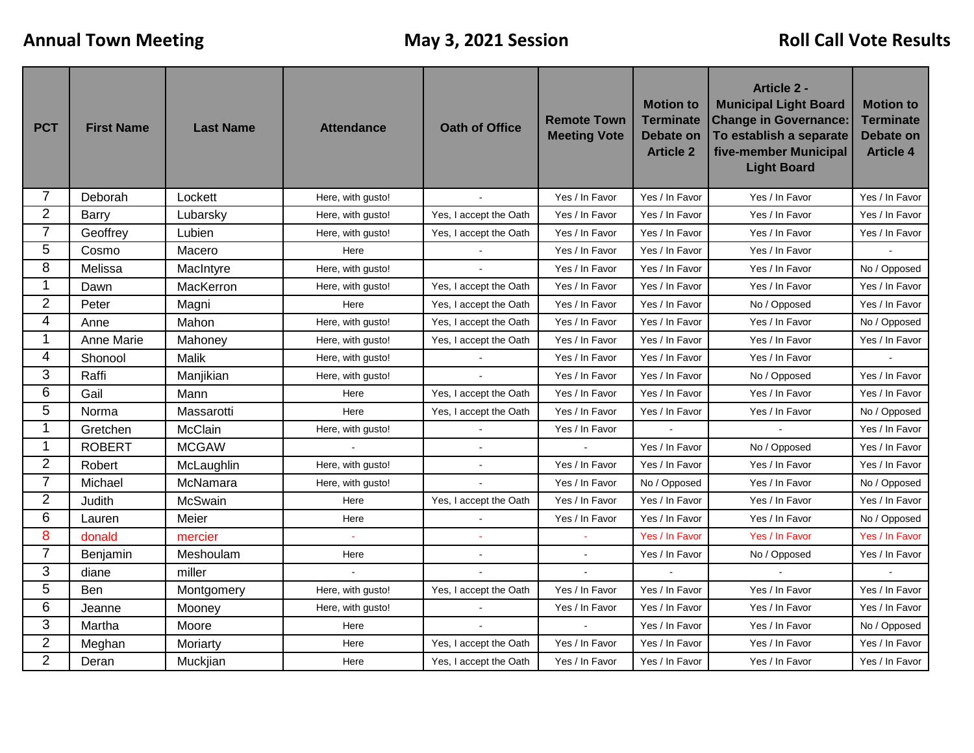| <b>PCT</b>     | <b>First Name</b> | <b>Last Name</b> | <b>Attendance</b> | <b>Oath of Office</b>  | <b>Remote Town</b><br><b>Meeting Vote</b> | <b>Motion to</b><br><b>Terminate</b><br>Debate on<br><b>Article 2</b> | <b>Article 2 -</b><br><b>Municipal Light Board</b><br><b>Change in Governance:</b><br>To establish a separate<br>five-member Municipal<br><b>Light Board</b> | <b>Motion to</b><br><b>Terminate</b><br><b>Debate on</b><br><b>Article 4</b> |
|----------------|-------------------|------------------|-------------------|------------------------|-------------------------------------------|-----------------------------------------------------------------------|--------------------------------------------------------------------------------------------------------------------------------------------------------------|------------------------------------------------------------------------------|
| 7              | Deborah           | Lockett          | Here, with gusto! |                        | Yes / In Favor                            | Yes / In Favor                                                        | Yes / In Favor                                                                                                                                               | Yes / In Favor                                                               |
| $\overline{2}$ | <b>Barry</b>      | Lubarsky         | Here, with gusto! | Yes, I accept the Oath | Yes / In Favor                            | Yes / In Favor                                                        | Yes / In Favor                                                                                                                                               | Yes / In Favor                                                               |
| $\overline{7}$ | Geoffrey          | Lubien           | Here, with gusto! | Yes, I accept the Oath | Yes / In Favor                            | Yes / In Favor                                                        | Yes / In Favor                                                                                                                                               | Yes / In Favor                                                               |
| 5              | Cosmo             | Macero           | Here              |                        | Yes / In Favor                            | Yes / In Favor                                                        | Yes / In Favor                                                                                                                                               |                                                                              |
| 8              | Melissa           | MacIntyre        | Here, with gusto! |                        | Yes / In Favor                            | Yes / In Favor                                                        | Yes / In Favor                                                                                                                                               | No / Opposed                                                                 |
| 1              | Dawn              | MacKerron        | Here, with gusto! | Yes, I accept the Oath | Yes / In Favor                            | Yes / In Favor                                                        | Yes / In Favor                                                                                                                                               | Yes / In Favor                                                               |
| $\overline{2}$ | Peter             | Magni            | Here              | Yes, I accept the Oath | Yes / In Favor                            | Yes / In Favor                                                        | No / Opposed                                                                                                                                                 | Yes / In Favor                                                               |
| 4              | Anne              | Mahon            | Here, with gusto! | Yes, I accept the Oath | Yes / In Favor                            | Yes / In Favor                                                        | Yes / In Favor                                                                                                                                               | No / Opposed                                                                 |
| 1              | Anne Marie        | Mahoney          | Here, with gusto! | Yes, I accept the Oath | Yes / In Favor                            | Yes / In Favor                                                        | Yes / In Favor                                                                                                                                               | Yes / In Favor                                                               |
| 4              | Shonool           | <b>Malik</b>     | Here, with gusto! |                        | Yes / In Favor                            | Yes / In Favor                                                        | Yes / In Favor                                                                                                                                               |                                                                              |
| 3              | Raffi             | Manjikian        | Here, with gusto! |                        | Yes / In Favor                            | Yes / In Favor                                                        | No / Opposed                                                                                                                                                 | Yes / In Favor                                                               |
| 6              | Gail              | Mann             | Here              | Yes, I accept the Oath | Yes / In Favor                            | Yes / In Favor                                                        | Yes / In Favor                                                                                                                                               | Yes / In Favor                                                               |
| 5              | Norma             | Massarotti       | Here              | Yes, I accept the Oath | Yes / In Favor                            | Yes / In Favor                                                        | Yes / In Favor                                                                                                                                               | No / Opposed                                                                 |
| 1              | Gretchen          | McClain          | Here, with gusto! |                        | Yes / In Favor                            |                                                                       |                                                                                                                                                              | Yes / In Favor                                                               |
| 1              | <b>ROBERT</b>     | <b>MCGAW</b>     |                   |                        |                                           | Yes / In Favor                                                        | No / Opposed                                                                                                                                                 | Yes / In Favor                                                               |
| $\overline{2}$ | Robert            | McLaughlin       | Here, with gusto! |                        | Yes / In Favor                            | Yes / In Favor                                                        | Yes / In Favor                                                                                                                                               | Yes / In Favor                                                               |
| $\overline{7}$ | Michael           | McNamara         | Here, with gusto! |                        | Yes / In Favor                            | No / Opposed                                                          | Yes / In Favor                                                                                                                                               | No / Opposed                                                                 |
| $\overline{2}$ | Judith            | <b>McSwain</b>   | Here              | Yes, I accept the Oath | Yes / In Favor                            | Yes / In Favor                                                        | Yes / In Favor                                                                                                                                               | Yes / In Favor                                                               |
| 6              | Lauren            | Meier            | Here              |                        | Yes / In Favor                            | Yes / In Favor                                                        | Yes / In Favor                                                                                                                                               | No / Opposed                                                                 |
| 8              | donald            | mercier          |                   |                        |                                           | Yes / In Favor                                                        | Yes / In Favor                                                                                                                                               | Yes / In Favor                                                               |
| $\overline{7}$ | Benjamin          | Meshoulam        | Here              |                        | $\blacksquare$                            | Yes / In Favor                                                        | No / Opposed                                                                                                                                                 | Yes / In Favor                                                               |
| 3              | diane             | miller           |                   |                        |                                           |                                                                       |                                                                                                                                                              |                                                                              |
| 5              | Ben               | Montgomery       | Here, with gusto! | Yes, I accept the Oath | Yes / In Favor                            | Yes / In Favor                                                        | Yes / In Favor                                                                                                                                               | Yes / In Favor                                                               |
| 6              | Jeanne            | Mooney           | Here, with gusto! |                        | Yes / In Favor                            | Yes / In Favor                                                        | Yes / In Favor                                                                                                                                               | Yes / In Favor                                                               |
| 3              | Martha            | Moore            | Here              |                        |                                           | Yes / In Favor                                                        | Yes / In Favor                                                                                                                                               | No / Opposed                                                                 |
| $\overline{2}$ | Meghan            | Moriarty         | Here              | Yes, I accept the Oath | Yes / In Favor                            | Yes / In Favor                                                        | Yes / In Favor                                                                                                                                               | Yes / In Favor                                                               |
| $\overline{2}$ | Deran             | Muckjian         | Here              | Yes, I accept the Oath | Yes / In Favor                            | Yes / In Favor                                                        | Yes / In Favor                                                                                                                                               | Yes / In Favor                                                               |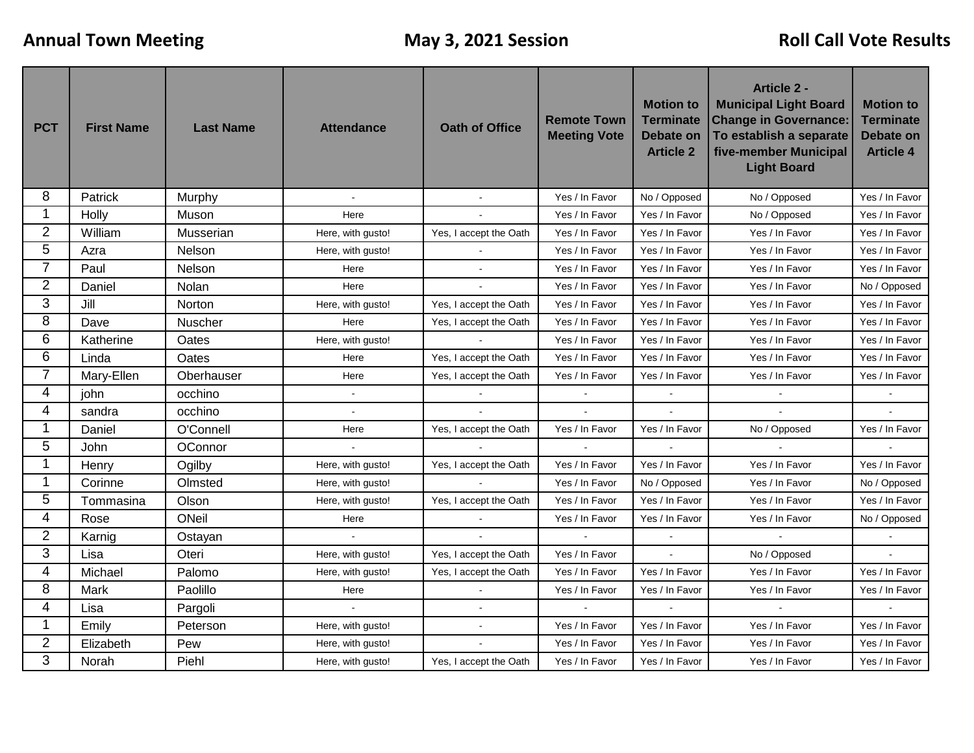| <b>PCT</b>     | <b>First Name</b> | <b>Last Name</b> | <b>Attendance</b> | <b>Oath of Office</b>  | <b>Remote Town</b><br><b>Meeting Vote</b> | <b>Motion to</b><br><b>Terminate</b><br><b>Debate on</b><br><b>Article 2</b> | <b>Article 2 -</b><br><b>Municipal Light Board</b><br><b>Change in Governance:</b><br>To establish a separate<br>five-member Municipal<br><b>Light Board</b> | <b>Motion to</b><br><b>Terminate</b><br><b>Debate on</b><br><b>Article 4</b> |
|----------------|-------------------|------------------|-------------------|------------------------|-------------------------------------------|------------------------------------------------------------------------------|--------------------------------------------------------------------------------------------------------------------------------------------------------------|------------------------------------------------------------------------------|
| 8              | Patrick           | Murphy           | $\mathbf{r}$      |                        | Yes / In Favor                            | No / Opposed                                                                 | No / Opposed                                                                                                                                                 | Yes / In Favor                                                               |
| 1              | Holly             | Muson            | Here              |                        | Yes / In Favor                            | Yes / In Favor                                                               | No / Opposed                                                                                                                                                 | Yes / In Favor                                                               |
| $\overline{2}$ | William           | Musserian        | Here, with gusto! | Yes, I accept the Oath | Yes / In Favor                            | Yes / In Favor                                                               | Yes / In Favor                                                                                                                                               | Yes / In Favor                                                               |
| 5              | Azra              | Nelson           | Here, with gusto! |                        | Yes / In Favor                            | Yes / In Favor                                                               | Yes / In Favor                                                                                                                                               | Yes / In Favor                                                               |
| 7              | Paul              | Nelson           | Here              |                        | Yes / In Favor                            | Yes / In Favor                                                               | Yes / In Favor                                                                                                                                               | Yes / In Favor                                                               |
| $\overline{2}$ | Daniel            | Nolan            | Here              |                        | Yes / In Favor                            | Yes / In Favor                                                               | Yes / In Favor                                                                                                                                               | No / Opposed                                                                 |
| 3              | Jill              | Norton           | Here, with gusto! | Yes, I accept the Oath | Yes / In Favor                            | Yes / In Favor                                                               | Yes / In Favor                                                                                                                                               | Yes / In Favor                                                               |
| 8              | Dave              | Nuscher          | Here              | Yes, I accept the Oath | Yes / In Favor                            | Yes / In Favor                                                               | Yes / In Favor                                                                                                                                               | Yes / In Favor                                                               |
| 6              | Katherine         | Oates            | Here, with gusto! |                        | Yes / In Favor                            | Yes / In Favor                                                               | Yes / In Favor                                                                                                                                               | Yes / In Favor                                                               |
| 6              | Linda             | Oates            | Here              | Yes, I accept the Oath | Yes / In Favor                            | Yes / In Favor                                                               | Yes / In Favor                                                                                                                                               | Yes / In Favor                                                               |
| 7              | Mary-Ellen        | Oberhauser       | Here              | Yes, I accept the Oath | Yes / In Favor                            | Yes / In Favor                                                               | Yes / In Favor                                                                                                                                               | Yes / In Favor                                                               |
| 4              | john              | occhino          | $\mathbf{r}$      |                        | $\sim$                                    |                                                                              | $\mathbf{r}$                                                                                                                                                 |                                                                              |
| 4              | sandra            | occhino          | $\overline{a}$    |                        | $\overline{a}$                            |                                                                              |                                                                                                                                                              |                                                                              |
| 1              | Daniel            | O'Connell        | Here              | Yes, I accept the Oath | Yes / In Favor                            | Yes / In Favor                                                               | No / Opposed                                                                                                                                                 | Yes / In Favor                                                               |
| 5              | John              | OConnor          |                   |                        |                                           |                                                                              |                                                                                                                                                              |                                                                              |
| 1              | Henry             | Ogilby           | Here, with gusto! | Yes, I accept the Oath | Yes / In Favor                            | Yes / In Favor                                                               | Yes / In Favor                                                                                                                                               | Yes / In Favor                                                               |
| 1              | Corinne           | Olmsted          | Here, with gusto! |                        | Yes / In Favor                            | No / Opposed                                                                 | Yes / In Favor                                                                                                                                               | No / Opposed                                                                 |
| 5              | Tommasina         | Olson            | Here, with gusto! | Yes, I accept the Oath | Yes / In Favor                            | Yes / In Favor                                                               | Yes / In Favor                                                                                                                                               | Yes / In Favor                                                               |
| 4              | Rose              | ONeil            | Here              |                        | Yes / In Favor                            | Yes / In Favor                                                               | Yes / In Favor                                                                                                                                               | No / Opposed                                                                 |
| $\overline{2}$ | Karnig            | Ostayan          |                   |                        |                                           |                                                                              |                                                                                                                                                              |                                                                              |
| 3              | Lisa              | Oteri            | Here, with gusto! | Yes, I accept the Oath | Yes / In Favor                            |                                                                              | No / Opposed                                                                                                                                                 |                                                                              |
| 4              | Michael           | Palomo           | Here, with gusto! | Yes, I accept the Oath | Yes / In Favor                            | Yes / In Favor                                                               | Yes / In Favor                                                                                                                                               | Yes / In Favor                                                               |
| 8              | Mark              | Paolillo         | Here              |                        | Yes / In Favor                            | Yes / In Favor                                                               | Yes / In Favor                                                                                                                                               | Yes / In Favor                                                               |
| 4              | Lisa              | Pargoli          | $\sim$            |                        |                                           |                                                                              |                                                                                                                                                              |                                                                              |
| 1              | Emily             | Peterson         | Here, with gusto! |                        | Yes / In Favor                            | Yes / In Favor                                                               | Yes / In Favor                                                                                                                                               | Yes / In Favor                                                               |
| $\overline{2}$ | Elizabeth         | Pew              | Here, with gusto! |                        | Yes / In Favor                            | Yes / In Favor                                                               | Yes / In Favor                                                                                                                                               | Yes / In Favor                                                               |
| 3              | Norah             | Piehl            | Here, with gusto! | Yes, I accept the Oath | Yes / In Favor                            | Yes / In Favor                                                               | Yes / In Favor                                                                                                                                               | Yes / In Favor                                                               |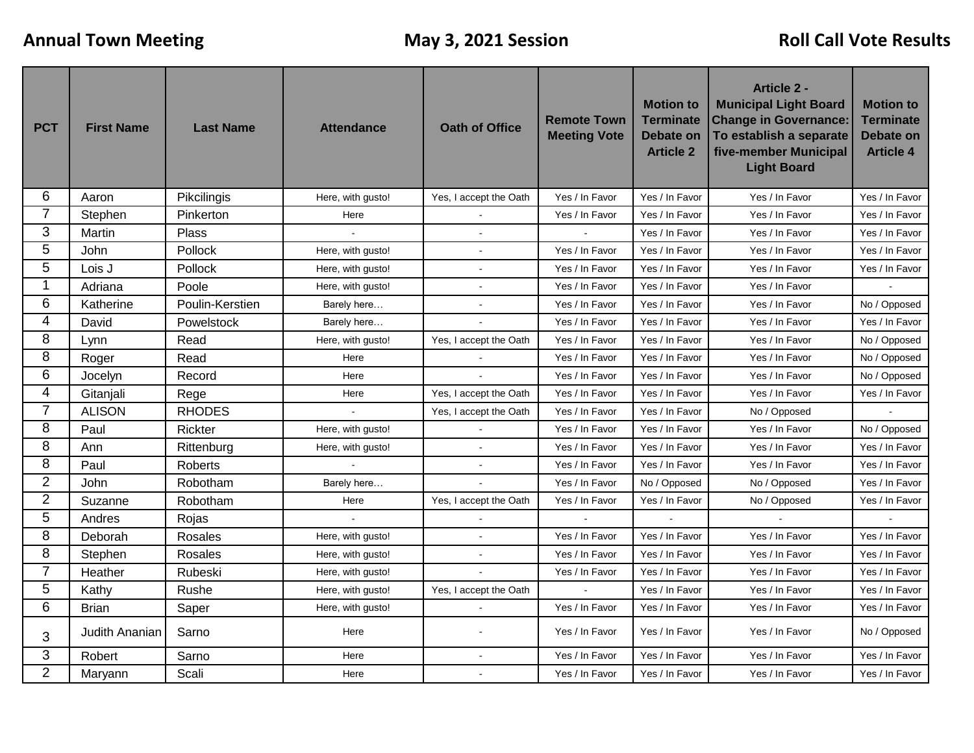| <b>PCT</b>     | <b>First Name</b> | <b>Last Name</b> | <b>Attendance</b> | <b>Oath of Office</b>  | <b>Remote Town</b><br><b>Meeting Vote</b> | <b>Motion to</b><br><b>Terminate</b><br>Debate on<br><b>Article 2</b> | <b>Article 2 -</b><br><b>Municipal Light Board</b><br><b>Change in Governance:</b><br>To establish a separate<br>five-member Municipal<br><b>Light Board</b> | <b>Motion to</b><br><b>Terminate</b><br><b>Debate on</b><br><b>Article 4</b> |
|----------------|-------------------|------------------|-------------------|------------------------|-------------------------------------------|-----------------------------------------------------------------------|--------------------------------------------------------------------------------------------------------------------------------------------------------------|------------------------------------------------------------------------------|
| 6              | Aaron             | Pikcilingis      | Here, with gusto! | Yes, I accept the Oath | Yes / In Favor                            | Yes / In Favor                                                        | Yes / In Favor                                                                                                                                               | Yes / In Favor                                                               |
| 7              | Stephen           | Pinkerton        | Here              |                        | Yes / In Favor                            | Yes / In Favor                                                        | Yes / In Favor                                                                                                                                               | Yes / In Favor                                                               |
| 3              | Martin            | Plass            |                   |                        |                                           | Yes / In Favor                                                        | Yes / In Favor                                                                                                                                               | Yes / In Favor                                                               |
| 5              | John              | Pollock          | Here, with gusto! |                        | Yes / In Favor                            | Yes / In Favor                                                        | Yes / In Favor                                                                                                                                               | Yes / In Favor                                                               |
| 5              | Lois J            | Pollock          | Here, with gusto! | $\overline{a}$         | Yes / In Favor                            | Yes / In Favor                                                        | Yes / In Favor                                                                                                                                               | Yes / In Favor                                                               |
| 1              | Adriana           | Poole            | Here, with gusto! |                        | Yes / In Favor                            | Yes / In Favor                                                        | Yes / In Favor                                                                                                                                               |                                                                              |
| 6              | Katherine         | Poulin-Kerstien  | Barely here       |                        | Yes / In Favor                            | Yes / In Favor                                                        | Yes / In Favor                                                                                                                                               | No / Opposed                                                                 |
| 4              | David             | Powelstock       | Barely here       |                        | Yes / In Favor                            | Yes / In Favor                                                        | Yes / In Favor                                                                                                                                               | Yes / In Favor                                                               |
| 8              | Lynn              | Read             | Here, with gusto! | Yes, I accept the Oath | Yes / In Favor                            | Yes / In Favor                                                        | Yes / In Favor                                                                                                                                               | No / Opposed                                                                 |
| 8              | Roger             | Read             | Here              |                        | Yes / In Favor                            | Yes / In Favor                                                        | Yes / In Favor                                                                                                                                               | No / Opposed                                                                 |
| 6              | Jocelyn           | Record           | Here              |                        | Yes / In Favor                            | Yes / In Favor                                                        | Yes / In Favor                                                                                                                                               | No / Opposed                                                                 |
| 4              | Gitanjali         | Rege             | Here              | Yes, I accept the Oath | Yes / In Favor                            | Yes / In Favor                                                        | Yes / In Favor                                                                                                                                               | Yes / In Favor                                                               |
| $\overline{7}$ | <b>ALISON</b>     | <b>RHODES</b>    |                   | Yes, I accept the Oath | Yes / In Favor                            | Yes / In Favor                                                        | No / Opposed                                                                                                                                                 |                                                                              |
| 8              | Paul              | Rickter          | Here, with gusto! |                        | Yes / In Favor                            | Yes / In Favor                                                        | Yes / In Favor                                                                                                                                               | No / Opposed                                                                 |
| 8              | Ann               | Rittenburg       | Here, with gusto! |                        | Yes / In Favor                            | Yes / In Favor                                                        | Yes / In Favor                                                                                                                                               | Yes / In Favor                                                               |
| 8              | Paul              | Roberts          |                   | $\blacksquare$         | Yes / In Favor                            | Yes / In Favor                                                        | Yes / In Favor                                                                                                                                               | Yes / In Favor                                                               |
| $\overline{2}$ | John              | Robotham         | Barely here       |                        | Yes / In Favor                            | No / Opposed                                                          | No / Opposed                                                                                                                                                 | Yes / In Favor                                                               |
| $\overline{2}$ | Suzanne           | Robotham         | Here              | Yes, I accept the Oath | Yes / In Favor                            | Yes / In Favor                                                        | No / Opposed                                                                                                                                                 | Yes / In Favor                                                               |
| 5              | Andres            | Rojas            | $\mathbf{r}$      |                        |                                           |                                                                       |                                                                                                                                                              |                                                                              |
| 8              | Deborah           | Rosales          | Here, with gusto! | $\mathbf{r}$           | Yes / In Favor                            | Yes / In Favor                                                        | Yes / In Favor                                                                                                                                               | Yes / In Favor                                                               |
| 8              | Stephen           | Rosales          | Here, with gusto! |                        | Yes / In Favor                            | Yes / In Favor                                                        | Yes / In Favor                                                                                                                                               | Yes / In Favor                                                               |
| $\overline{7}$ | Heather           | Rubeski          | Here, with gusto! |                        | Yes / In Favor                            | Yes / In Favor                                                        | Yes / In Favor                                                                                                                                               | Yes / In Favor                                                               |
| 5              | Kathy             | Rushe            | Here, with gusto! | Yes, I accept the Oath | $\tilde{\phantom{a}}$                     | Yes / In Favor                                                        | Yes / In Favor                                                                                                                                               | Yes / In Favor                                                               |
| 6              | <b>Brian</b>      | Saper            | Here, with gusto! |                        | Yes / In Favor                            | Yes / In Favor                                                        | Yes / In Favor                                                                                                                                               | Yes / In Favor                                                               |
| 3              | Judith Ananian    | Sarno            | Here              |                        | Yes / In Favor                            | Yes / In Favor                                                        | Yes / In Favor                                                                                                                                               | No / Opposed                                                                 |
| 3              | Robert            | Sarno            | Here              |                        | Yes / In Favor                            | Yes / In Favor                                                        | Yes / In Favor                                                                                                                                               | Yes / In Favor                                                               |
| $\overline{2}$ | Maryann           | Scali            | Here              |                        | Yes / In Favor                            | Yes / In Favor                                                        | Yes / In Favor                                                                                                                                               | Yes / In Favor                                                               |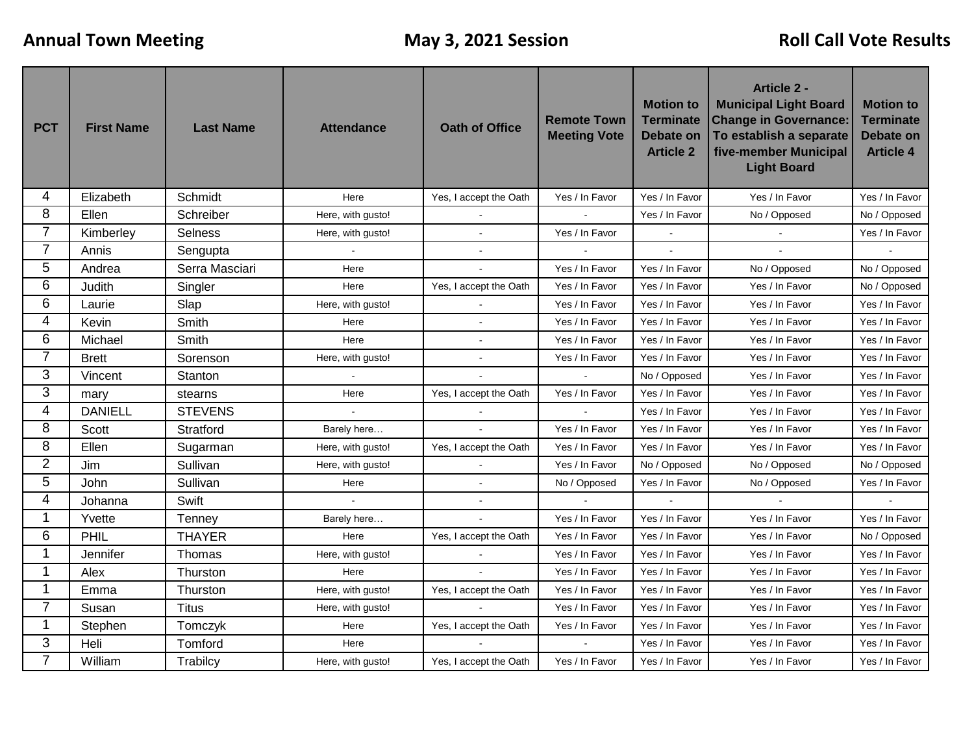| <b>PCT</b>     | <b>First Name</b> | <b>Last Name</b> | <b>Attendance</b> | <b>Oath of Office</b>  | <b>Remote Town</b><br><b>Meeting Vote</b> | <b>Motion to</b><br><b>Terminate</b><br><b>Debate on</b><br><b>Article 2</b> | <b>Article 2 -</b><br><b>Municipal Light Board</b><br><b>Change in Governance:</b><br>To establish a separate<br>five-member Municipal<br><b>Light Board</b> | <b>Motion to</b><br><b>Terminate</b><br><b>Debate on</b><br><b>Article 4</b> |
|----------------|-------------------|------------------|-------------------|------------------------|-------------------------------------------|------------------------------------------------------------------------------|--------------------------------------------------------------------------------------------------------------------------------------------------------------|------------------------------------------------------------------------------|
| 4              | Elizabeth         | Schmidt          | Here              | Yes, I accept the Oath | Yes / In Favor                            | Yes / In Favor                                                               | Yes / In Favor                                                                                                                                               | Yes / In Favor                                                               |
| 8              | Ellen             | Schreiber        | Here, with gusto! |                        | $\ddot{\phantom{a}}$                      | Yes / In Favor                                                               | No / Opposed                                                                                                                                                 | No / Opposed                                                                 |
| $\overline{7}$ | Kimberley         | Selness          | Here, with gusto! |                        | Yes / In Favor                            |                                                                              |                                                                                                                                                              | Yes / In Favor                                                               |
| $\overline{7}$ | Annis             | Sengupta         |                   |                        |                                           |                                                                              |                                                                                                                                                              |                                                                              |
| 5              | Andrea            | Serra Masciari   | Here              |                        | Yes / In Favor                            | Yes / In Favor                                                               | No / Opposed                                                                                                                                                 | No / Opposed                                                                 |
| 6              | Judith            | Singler          | Here              | Yes, I accept the Oath | Yes / In Favor                            | Yes / In Favor                                                               | Yes / In Favor                                                                                                                                               | No / Opposed                                                                 |
| 6              | Laurie            | Slap             | Here, with gusto! |                        | Yes / In Favor                            | Yes / In Favor                                                               | Yes / In Favor                                                                                                                                               | Yes / In Favor                                                               |
| 4              | Kevin             | Smith            | Here              |                        | Yes / In Favor                            | Yes / In Favor                                                               | Yes / In Favor                                                                                                                                               | Yes / In Favor                                                               |
| 6              | Michael           | Smith            | Here              |                        | Yes / In Favor                            | Yes / In Favor                                                               | Yes / In Favor                                                                                                                                               | Yes / In Favor                                                               |
| 7              | <b>Brett</b>      | Sorenson         | Here, with gusto! |                        | Yes / In Favor                            | Yes / In Favor                                                               | Yes / In Favor                                                                                                                                               | Yes / In Favor                                                               |
| 3              | Vincent           | Stanton          | $\blacksquare$    |                        | $\overline{\phantom{a}}$                  | No / Opposed                                                                 | Yes / In Favor                                                                                                                                               | Yes / In Favor                                                               |
| 3              | mary              | stearns          | Here              | Yes, I accept the Oath | Yes / In Favor                            | Yes / In Favor                                                               | Yes / In Favor                                                                                                                                               | Yes / In Favor                                                               |
| 4              | <b>DANIELL</b>    | <b>STEVENS</b>   | $\sim$            |                        |                                           | Yes / In Favor                                                               | Yes / In Favor                                                                                                                                               | Yes / In Favor                                                               |
| 8              | Scott             | Stratford        | Barely here       |                        | Yes / In Favor                            | Yes / In Favor                                                               | Yes / In Favor                                                                                                                                               | Yes / In Favor                                                               |
| 8              | Ellen             | Sugarman         | Here, with gusto! | Yes, I accept the Oath | Yes / In Favor                            | Yes / In Favor                                                               | Yes / In Favor                                                                                                                                               | Yes / In Favor                                                               |
| $\overline{2}$ | Jim               | Sullivan         | Here, with gusto! |                        | Yes / In Favor                            | No / Opposed                                                                 | No / Opposed                                                                                                                                                 | No / Opposed                                                                 |
| 5              | <b>John</b>       | Sullivan         | Here              | $\mathbf{r}$           | No / Opposed                              | Yes / In Favor                                                               | No / Opposed                                                                                                                                                 | Yes / In Favor                                                               |
| 4              | Johanna           | Swift            |                   |                        |                                           |                                                                              |                                                                                                                                                              |                                                                              |
| 1              | Yvette            | Tenney           | Barely here       |                        | Yes / In Favor                            | Yes / In Favor                                                               | Yes / In Favor                                                                                                                                               | Yes / In Favor                                                               |
| 6              | PHIL              | <b>THAYER</b>    | Here              | Yes, I accept the Oath | Yes / In Favor                            | Yes / In Favor                                                               | Yes / In Favor                                                                                                                                               | No / Opposed                                                                 |
| 1              | Jennifer          | Thomas           | Here, with gusto! | $\blacksquare$         | Yes / In Favor                            | Yes / In Favor                                                               | Yes / In Favor                                                                                                                                               | Yes / In Favor                                                               |
| 1              | Alex              | Thurston         | Here              |                        | Yes / In Favor                            | Yes / In Favor                                                               | Yes / In Favor                                                                                                                                               | Yes / In Favor                                                               |
| 1              | Emma              | Thurston         | Here, with gusto! | Yes, I accept the Oath | Yes / In Favor                            | Yes / In Favor                                                               | Yes / In Favor                                                                                                                                               | Yes / In Favor                                                               |
| 7              | Susan             | <b>Titus</b>     | Here, with gusto! |                        | Yes / In Favor                            | Yes / In Favor                                                               | Yes / In Favor                                                                                                                                               | Yes / In Favor                                                               |
| 1              | Stephen           | Tomczyk          | Here              | Yes, I accept the Oath | Yes / In Favor                            | Yes / In Favor                                                               | Yes / In Favor                                                                                                                                               | Yes / In Favor                                                               |
| 3              | Heli              | Tomford          | Here              |                        |                                           | Yes / In Favor                                                               | Yes / In Favor                                                                                                                                               | Yes / In Favor                                                               |
| $\overline{7}$ | William           | Trabilcy         | Here, with gusto! | Yes, I accept the Oath | Yes / In Favor                            | Yes / In Favor                                                               | Yes / In Favor                                                                                                                                               | Yes / In Favor                                                               |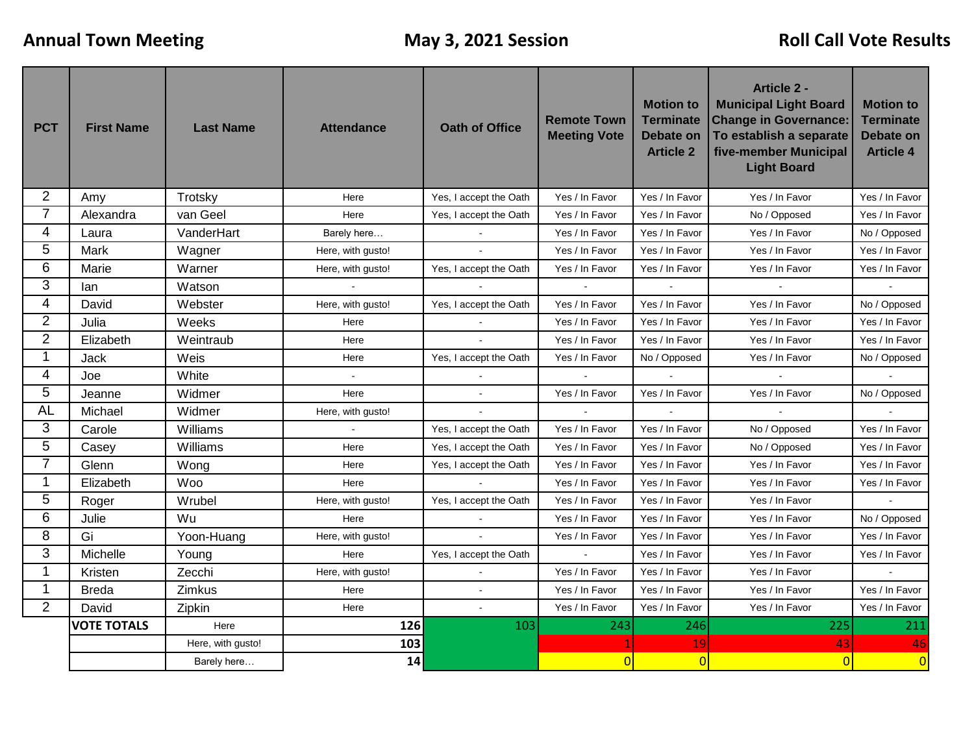| <b>PCT</b>     | <b>First Name</b>  | <b>Last Name</b>  | <b>Attendance</b> | <b>Oath of Office</b>  | <b>Remote Town</b><br><b>Meeting Vote</b> | <b>Motion to</b><br><b>Terminate</b><br><b>Debate on</b><br><b>Article 2</b> | <b>Article 2 -</b><br><b>Municipal Light Board</b><br><b>Change in Governance:</b><br>To establish a separate<br>five-member Municipal<br><b>Light Board</b> | <b>Motion to</b><br><b>Terminate</b><br><b>Debate on</b><br><b>Article 4</b> |
|----------------|--------------------|-------------------|-------------------|------------------------|-------------------------------------------|------------------------------------------------------------------------------|--------------------------------------------------------------------------------------------------------------------------------------------------------------|------------------------------------------------------------------------------|
| 2              | Amy                | Trotsky           | Here              | Yes, I accept the Oath | Yes / In Favor                            | Yes / In Favor                                                               | Yes / In Favor                                                                                                                                               | Yes / In Favor                                                               |
|                | Alexandra          | van Geel          | Here              | Yes, I accept the Oath | Yes / In Favor                            | Yes / In Favor                                                               | No / Opposed                                                                                                                                                 | Yes / In Favor                                                               |
| 4              | Laura              | VanderHart        | Barely here       |                        | Yes / In Favor                            | Yes / In Favor                                                               | Yes / In Favor                                                                                                                                               | No / Opposed                                                                 |
| 5              | <b>Mark</b>        | Wagner            | Here, with qusto! | $\mathbf{r}$           | Yes / In Favor                            | Yes / In Favor                                                               | Yes / In Favor                                                                                                                                               | Yes / In Favor                                                               |
| 6              | Marie              | Warner            | Here, with gusto! | Yes, I accept the Oath | Yes / In Favor                            | Yes / In Favor                                                               | Yes / In Favor                                                                                                                                               | Yes / In Favor                                                               |
| 3              | lan                | Watson            |                   |                        |                                           |                                                                              |                                                                                                                                                              |                                                                              |
| 4              | David              | Webster           | Here, with gusto! | Yes, I accept the Oath | Yes / In Favor                            | Yes / In Favor                                                               | Yes / In Favor                                                                                                                                               | No / Opposed                                                                 |
| 2              | Julia              | Weeks             | Here              |                        | Yes / In Favor                            | Yes / In Favor                                                               | Yes / In Favor                                                                                                                                               | Yes / In Favor                                                               |
| $\overline{2}$ | Elizabeth          | Weintraub         | Here              |                        | Yes / In Favor                            | Yes / In Favor                                                               | Yes / In Favor                                                                                                                                               | Yes / In Favor                                                               |
| 1              | <b>Jack</b>        | Weis              | Here              | Yes, I accept the Oath | Yes / In Favor                            | No / Opposed                                                                 | Yes / In Favor                                                                                                                                               | No / Opposed                                                                 |
| 4              | Joe                | White             | $\sim$            |                        |                                           |                                                                              |                                                                                                                                                              |                                                                              |
| 5              | Jeanne             | Widmer            | Here              |                        | Yes / In Favor                            | Yes / In Favor                                                               | Yes / In Favor                                                                                                                                               | No / Opposed                                                                 |
| <b>AL</b>      | Michael            | Widmer            | Here, with gusto! |                        |                                           |                                                                              |                                                                                                                                                              |                                                                              |
| 3              | Carole             | Williams          | $\sim$            | Yes, I accept the Oath | Yes / In Favor                            | Yes / In Favor                                                               | No / Opposed                                                                                                                                                 | Yes / In Favor                                                               |
| 5              | Casey              | Williams          | Here              | Yes, I accept the Oath | Yes / In Favor                            | Yes / In Favor                                                               | No / Opposed                                                                                                                                                 | Yes / In Favor                                                               |
| 7              | Glenn              | Wong              | Here              | Yes, I accept the Oath | Yes / In Favor                            | Yes / In Favor                                                               | Yes / In Favor                                                                                                                                               | Yes / In Favor                                                               |
| 1              | Elizabeth          | Woo               | Here              |                        | Yes / In Favor                            | Yes / In Favor                                                               | Yes / In Favor                                                                                                                                               | Yes / In Favor                                                               |
| 5              | Roger              | Wrubel            | Here, with gusto! | Yes, I accept the Oath | Yes / In Favor                            | Yes / In Favor                                                               | Yes / In Favor                                                                                                                                               |                                                                              |
| 6              | Julie              | Wu                | Here              |                        | Yes / In Favor                            | Yes / In Favor                                                               | Yes / In Favor                                                                                                                                               | No / Opposed                                                                 |
| 8              | Gi                 | Yoon-Huang        | Here, with gusto! |                        | Yes / In Favor                            | Yes / In Favor                                                               | Yes / In Favor                                                                                                                                               | Yes / In Favor                                                               |
| 3              | Michelle           | Young             | Here              | Yes, I accept the Oath | $\blacksquare$                            | Yes / In Favor                                                               | Yes / In Favor                                                                                                                                               | Yes / In Favor                                                               |
| 1              | Kristen            | Zecchi            | Here, with gusto! |                        | Yes / In Favor                            | Yes / In Favor                                                               | Yes / In Favor                                                                                                                                               |                                                                              |
| 1              | <b>Breda</b>       | Zimkus            | Here              |                        | Yes / In Favor                            | Yes / In Favor                                                               | Yes / In Favor                                                                                                                                               | Yes / In Favor                                                               |
| $\overline{2}$ | David              | Zipkin            | Here              |                        | Yes / In Favor                            | Yes / In Favor                                                               | Yes / In Favor                                                                                                                                               | Yes / In Favor                                                               |
|                | <b>VOTE TOTALS</b> | Here              | 126               | 103                    | 243                                       | 246                                                                          | 225                                                                                                                                                          | 211                                                                          |
|                |                    | Here, with gusto! | 103               |                        |                                           | 19                                                                           | 43                                                                                                                                                           | 46                                                                           |
|                |                    | Barely here       | 14                |                        | $\Omega$                                  | $\overline{0}$                                                               | $\overline{0}$                                                                                                                                               | $\overline{0}$                                                               |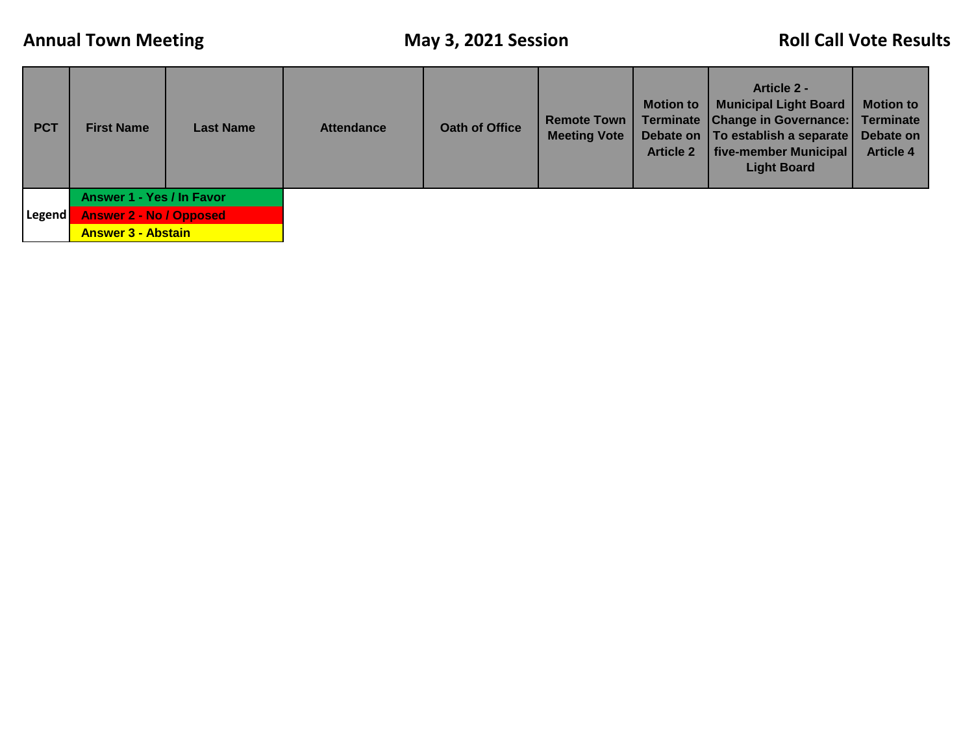| <b>PCT</b> | <b>First Name</b>              | <b>Last Name</b> | <b>Attendance</b> | Oath of Office | <b>Remote Town</b><br><b>Meeting Vote</b> | <b>Motion to</b><br><b>Article 2</b> | <b>Article 2 -</b><br><b>Municipal Light Board</b><br>Terminate   Change in Governance:  <br>Debate on   To establish a separate  <br>five-member Municipal<br><b>Light Board</b> | <b>Motion to</b><br><b>Terminate</b><br>Debate on<br><b>Article 4</b> |
|------------|--------------------------------|------------------|-------------------|----------------|-------------------------------------------|--------------------------------------|-----------------------------------------------------------------------------------------------------------------------------------------------------------------------------------|-----------------------------------------------------------------------|
|            | Answer 1 - Yes / In Favor      |                  |                   |                |                                           |                                      |                                                                                                                                                                                   |                                                                       |
| Legend     | <b>Answer 2 - No / Opposed</b> |                  |                   |                |                                           |                                      |                                                                                                                                                                                   |                                                                       |
|            | <b>Answer 3 - Abstain</b>      |                  |                   |                |                                           |                                      |                                                                                                                                                                                   |                                                                       |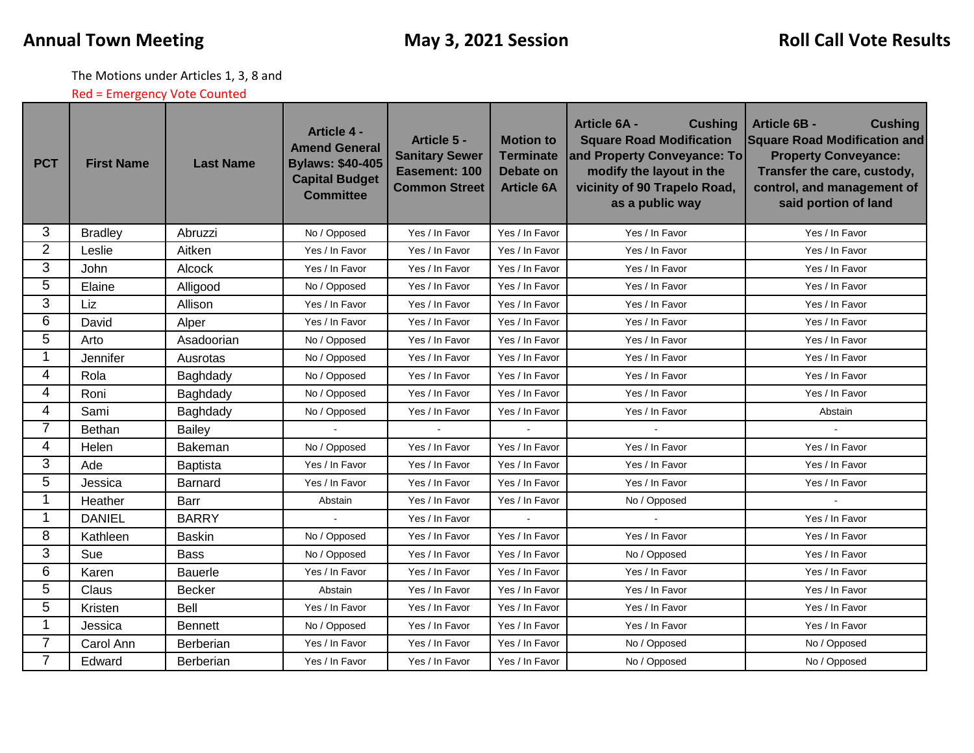The Motions under Articles 1, 3, 8 and

Red = Emergency Vote Counted

| <b>PCT</b>     | <b>First Name</b> | <b>Last Name</b> | <b>Article 4 -</b><br><b>Amend General</b><br><b>Bylaws: \$40-405</b><br><b>Capital Budget</b><br><b>Committee</b> | Article 5 -<br><b>Sanitary Sewer</b><br>Easement: 100<br><b>Common Street</b> | <b>Motion to</b><br><b>Terminate</b><br><b>Debate on</b><br><b>Article 6A</b> | <b>Cushing</b><br><b>Article 6A -</b><br><b>Square Road Modification</b><br>and Property Conveyance: To<br>modify the layout in the<br>vicinity of 90 Trapelo Road,<br>as a public way | <b>Article 6B -</b><br><b>Cushing</b><br><b>Square Road Modification and</b><br><b>Property Conveyance:</b><br>Transfer the care, custody,<br>control, and management of<br>said portion of land |  |
|----------------|-------------------|------------------|--------------------------------------------------------------------------------------------------------------------|-------------------------------------------------------------------------------|-------------------------------------------------------------------------------|----------------------------------------------------------------------------------------------------------------------------------------------------------------------------------------|--------------------------------------------------------------------------------------------------------------------------------------------------------------------------------------------------|--|
| 3              | <b>Bradley</b>    | Abruzzi          | Yes / In Favor<br>Yes / In Favor<br>No / Opposed                                                                   |                                                                               | Yes / In Favor                                                                | Yes / In Favor                                                                                                                                                                         |                                                                                                                                                                                                  |  |
| $\overline{2}$ | Leslie<br>Aitken  |                  | Yes / In Favor                                                                                                     | Yes / In Favor                                                                | Yes / In Favor                                                                | Yes / In Favor                                                                                                                                                                         | Yes / In Favor                                                                                                                                                                                   |  |
| 3              | John<br>Alcock    |                  | Yes / In Favor                                                                                                     | Yes / In Favor                                                                | Yes / In Favor                                                                | Yes / In Favor                                                                                                                                                                         | Yes / In Favor                                                                                                                                                                                   |  |
| 5              | Elaine            | Alligood         | No / Opposed                                                                                                       | Yes / In Favor                                                                | Yes / In Favor                                                                | Yes / In Favor                                                                                                                                                                         | Yes / In Favor                                                                                                                                                                                   |  |
| 3              | Liz               | Allison          | Yes / In Favor                                                                                                     | Yes / In Favor                                                                | Yes / In Favor                                                                | Yes / In Favor                                                                                                                                                                         | Yes / In Favor                                                                                                                                                                                   |  |
| 6              | David             | Alper            | Yes / In Favor                                                                                                     | Yes / In Favor                                                                | Yes / In Favor                                                                | Yes / In Favor                                                                                                                                                                         | Yes / In Favor                                                                                                                                                                                   |  |
| 5              | Arto              | Asadoorian       | No / Opposed                                                                                                       | Yes / In Favor                                                                | Yes / In Favor                                                                | Yes / In Favor                                                                                                                                                                         | Yes / In Favor                                                                                                                                                                                   |  |
| 1              | Jennifer          | Ausrotas         | No / Opposed                                                                                                       | Yes / In Favor                                                                | Yes / In Favor                                                                | Yes / In Favor                                                                                                                                                                         | Yes / In Favor                                                                                                                                                                                   |  |
| 4              | Rola              | Baghdady         | No / Opposed                                                                                                       | Yes / In Favor                                                                | Yes / In Favor                                                                | Yes / In Favor                                                                                                                                                                         | Yes / In Favor                                                                                                                                                                                   |  |
| 4              | Roni              | Baghdady         | No / Opposed                                                                                                       | Yes / In Favor                                                                | Yes / In Favor                                                                | Yes / In Favor                                                                                                                                                                         | Yes / In Favor                                                                                                                                                                                   |  |
| 4              | Sami              | Baghdady         | No / Opposed                                                                                                       | Yes / In Favor                                                                | Yes / In Favor                                                                | Yes / In Favor                                                                                                                                                                         | Abstain                                                                                                                                                                                          |  |
| $\overline{7}$ | Bethan            | Bailey           |                                                                                                                    |                                                                               |                                                                               |                                                                                                                                                                                        |                                                                                                                                                                                                  |  |
| 4              | Helen             | Bakeman          | No / Opposed                                                                                                       | Yes / In Favor                                                                | Yes / In Favor                                                                | Yes / In Favor                                                                                                                                                                         | Yes / In Favor                                                                                                                                                                                   |  |
| 3              | Ade               | Baptista         | Yes / In Favor                                                                                                     | Yes / In Favor                                                                | Yes / In Favor                                                                | Yes / In Favor                                                                                                                                                                         | Yes / In Favor                                                                                                                                                                                   |  |
| 5              | Jessica           | <b>Barnard</b>   | Yes / In Favor                                                                                                     | Yes / In Favor                                                                | Yes / In Favor                                                                | Yes / In Favor                                                                                                                                                                         | Yes / In Favor                                                                                                                                                                                   |  |
| 1              | Heather           | Barr             | Abstain                                                                                                            | Yes / In Favor                                                                | Yes / In Favor                                                                | No / Opposed                                                                                                                                                                           |                                                                                                                                                                                                  |  |
| 1              | <b>DANIEL</b>     | <b>BARRY</b>     |                                                                                                                    | Yes / In Favor                                                                |                                                                               |                                                                                                                                                                                        | Yes / In Favor                                                                                                                                                                                   |  |
| 8              | Kathleen          | <b>Baskin</b>    | No / Opposed                                                                                                       | Yes / In Favor                                                                | Yes / In Favor                                                                | Yes / In Favor                                                                                                                                                                         | Yes / In Favor                                                                                                                                                                                   |  |
| 3              | Sue               | <b>Bass</b>      | No / Opposed                                                                                                       | Yes / In Favor                                                                | Yes / In Favor                                                                | No / Opposed                                                                                                                                                                           | Yes / In Favor                                                                                                                                                                                   |  |
| 6              | Karen             | <b>Bauerle</b>   | Yes / In Favor                                                                                                     | Yes / In Favor                                                                | Yes / In Favor                                                                | Yes / In Favor                                                                                                                                                                         | Yes / In Favor                                                                                                                                                                                   |  |
| 5              | Claus             | <b>Becker</b>    | Abstain                                                                                                            | Yes / In Favor                                                                | Yes / In Favor                                                                | Yes / In Favor                                                                                                                                                                         | Yes / In Favor                                                                                                                                                                                   |  |
| 5              | Kristen           | Bell             | Yes / In Favor                                                                                                     | Yes / In Favor                                                                | Yes / In Favor                                                                | Yes / In Favor                                                                                                                                                                         | Yes / In Favor                                                                                                                                                                                   |  |
| 1              | Jessica           | <b>Bennett</b>   | No / Opposed                                                                                                       | Yes / In Favor                                                                | Yes / In Favor                                                                | Yes / In Favor                                                                                                                                                                         | Yes / In Favor                                                                                                                                                                                   |  |
| 7              | Carol Ann         | <b>Berberian</b> | Yes / In Favor                                                                                                     | Yes / In Favor                                                                | Yes / In Favor                                                                | No / Opposed                                                                                                                                                                           | No / Opposed                                                                                                                                                                                     |  |
| $\overline{7}$ | Edward            | Berberian        | Yes / In Favor                                                                                                     | Yes / In Favor                                                                | Yes / In Favor                                                                | No / Opposed                                                                                                                                                                           | No / Opposed                                                                                                                                                                                     |  |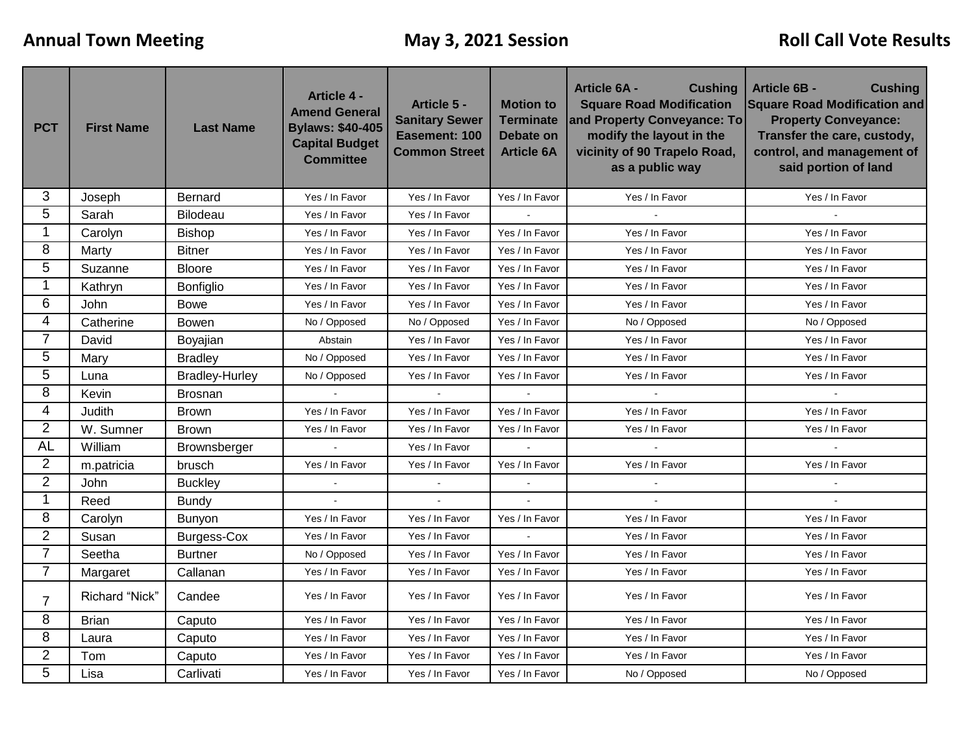| <b>PCT</b>     | <b>First Name</b> | <b>Last Name</b>      | <b>Article 4 -</b><br><b>Amend General</b><br><b>Bylaws: \$40-405</b><br><b>Capital Budget</b><br><b>Committee</b> | Article 5 -<br><b>Sanitary Sewer</b><br>Easement: 100<br><b>Common Street</b> | <b>Motion to</b><br><b>Terminate</b><br>Debate on<br><b>Article 6A</b> | <b>Article 6A -</b><br><b>Cushing</b><br><b>Square Road Modification</b><br>and Property Conveyance: To<br>modify the layout in the<br>vicinity of 90 Trapelo Road,<br>as a public way | <b>Article 6B -</b><br><b>Cushing</b><br><b>Square Road Modification and</b><br><b>Property Conveyance:</b><br>Transfer the care, custody,<br>control, and management of<br>said portion of land |  |
|----------------|-------------------|-----------------------|--------------------------------------------------------------------------------------------------------------------|-------------------------------------------------------------------------------|------------------------------------------------------------------------|----------------------------------------------------------------------------------------------------------------------------------------------------------------------------------------|--------------------------------------------------------------------------------------------------------------------------------------------------------------------------------------------------|--|
| 3              | Joseph            | Bernard               | Yes / In Favor                                                                                                     | Yes / In Favor                                                                | Yes / In Favor                                                         | Yes / In Favor                                                                                                                                                                         | Yes / In Favor                                                                                                                                                                                   |  |
| 5              | Sarah             | Bilodeau              | Yes / In Favor                                                                                                     | Yes / In Favor                                                                |                                                                        |                                                                                                                                                                                        |                                                                                                                                                                                                  |  |
| $\mathbf{1}$   | Carolyn           | <b>Bishop</b>         | Yes / In Favor                                                                                                     | Yes / In Favor                                                                | Yes / In Favor                                                         | Yes / In Favor                                                                                                                                                                         | Yes / In Favor                                                                                                                                                                                   |  |
| 8              | Marty             | <b>Bitner</b>         | Yes / In Favor                                                                                                     | Yes / In Favor                                                                | Yes / In Favor                                                         | Yes / In Favor                                                                                                                                                                         | Yes / In Favor                                                                                                                                                                                   |  |
| 5              | Suzanne           | <b>Bloore</b>         | Yes / In Favor                                                                                                     | Yes / In Favor                                                                | Yes / In Favor                                                         | Yes / In Favor                                                                                                                                                                         | Yes / In Favor                                                                                                                                                                                   |  |
| $\mathbf 1$    | Kathryn           | Bonfiglio             | Yes / In Favor                                                                                                     | Yes / In Favor                                                                | Yes / In Favor                                                         | Yes / In Favor                                                                                                                                                                         | Yes / In Favor                                                                                                                                                                                   |  |
| 6              | John              | <b>Bowe</b>           | Yes / In Favor                                                                                                     | Yes / In Favor                                                                | Yes / In Favor                                                         | Yes / In Favor                                                                                                                                                                         | Yes / In Favor                                                                                                                                                                                   |  |
| $\overline{4}$ | Catherine         | <b>Bowen</b>          | No / Opposed                                                                                                       | No / Opposed                                                                  | Yes / In Favor                                                         | No / Opposed                                                                                                                                                                           | No / Opposed                                                                                                                                                                                     |  |
| $\overline{7}$ | David             | Boyajian              | Abstain                                                                                                            | Yes / In Favor                                                                | Yes / In Favor                                                         | Yes / In Favor                                                                                                                                                                         | Yes / In Favor                                                                                                                                                                                   |  |
| 5              | Mary              | <b>Bradley</b>        | No / Opposed                                                                                                       | Yes / In Favor                                                                | Yes / In Favor                                                         | Yes / In Favor                                                                                                                                                                         | Yes / In Favor                                                                                                                                                                                   |  |
| 5              | Luna              | <b>Bradley-Hurley</b> | No / Opposed                                                                                                       | Yes / In Favor                                                                | Yes / In Favor                                                         | Yes / In Favor                                                                                                                                                                         | Yes / In Favor                                                                                                                                                                                   |  |
| 8              | Kevin             | <b>Brosnan</b>        |                                                                                                                    |                                                                               |                                                                        |                                                                                                                                                                                        |                                                                                                                                                                                                  |  |
| 4              | Judith            | <b>Brown</b>          | Yes / In Favor                                                                                                     | Yes / In Favor                                                                | Yes / In Favor                                                         | Yes / In Favor                                                                                                                                                                         | Yes / In Favor                                                                                                                                                                                   |  |
| $\overline{2}$ | W. Sumner         | <b>Brown</b>          | Yes / In Favor                                                                                                     | Yes / In Favor                                                                | Yes / In Favor                                                         | Yes / In Favor                                                                                                                                                                         | Yes / In Favor                                                                                                                                                                                   |  |
| <b>AL</b>      | William           | Brownsberger          | $\overline{a}$                                                                                                     | Yes / In Favor                                                                |                                                                        | $\mathbf{r}$                                                                                                                                                                           |                                                                                                                                                                                                  |  |
| $\overline{2}$ | m.patricia        | brusch                | Yes / In Favor                                                                                                     | Yes / In Favor                                                                | Yes / In Favor                                                         | Yes / In Favor                                                                                                                                                                         | Yes / In Favor                                                                                                                                                                                   |  |
| $\overline{2}$ | John              | <b>Buckley</b>        |                                                                                                                    |                                                                               |                                                                        |                                                                                                                                                                                        |                                                                                                                                                                                                  |  |
| $\mathbf{1}$   | Reed              | <b>Bundy</b>          |                                                                                                                    |                                                                               |                                                                        |                                                                                                                                                                                        |                                                                                                                                                                                                  |  |
| 8              | Carolyn           | Bunyon                | Yes / In Favor                                                                                                     | Yes / In Favor                                                                | Yes / In Favor                                                         | Yes / In Favor                                                                                                                                                                         | Yes / In Favor                                                                                                                                                                                   |  |
| $\overline{2}$ | Susan             | <b>Burgess-Cox</b>    | Yes / In Favor                                                                                                     | Yes / In Favor                                                                |                                                                        | Yes / In Favor                                                                                                                                                                         | Yes / In Favor                                                                                                                                                                                   |  |
| $\overline{7}$ | Seetha            | <b>Burtner</b>        | No / Opposed                                                                                                       | Yes / In Favor                                                                | Yes / In Favor                                                         | Yes / In Favor                                                                                                                                                                         | Yes / In Favor                                                                                                                                                                                   |  |
| $\overline{7}$ | Margaret          | Callanan              | Yes / In Favor                                                                                                     | Yes / In Favor                                                                | Yes / In Favor                                                         | Yes / In Favor                                                                                                                                                                         | Yes / In Favor                                                                                                                                                                                   |  |
| $\overline{7}$ | Richard "Nick"    | Candee                | Yes / In Favor                                                                                                     | Yes / In Favor                                                                | Yes / In Favor                                                         | Yes / In Favor                                                                                                                                                                         | Yes / In Favor                                                                                                                                                                                   |  |
| 8              | <b>Brian</b>      | Caputo                | Yes / In Favor                                                                                                     | Yes / In Favor                                                                | Yes / In Favor                                                         | Yes / In Favor                                                                                                                                                                         | Yes / In Favor                                                                                                                                                                                   |  |
| 8              | Laura             | Caputo                | Yes / In Favor                                                                                                     | Yes / In Favor                                                                | Yes / In Favor                                                         | Yes / In Favor                                                                                                                                                                         | Yes / In Favor                                                                                                                                                                                   |  |
| $\overline{2}$ | Tom               | Caputo                | Yes / In Favor                                                                                                     | Yes / In Favor                                                                | Yes / In Favor                                                         | Yes / In Favor                                                                                                                                                                         | Yes / In Favor                                                                                                                                                                                   |  |
| 5              | Lisa              | Carlivati             | Yes / In Favor                                                                                                     | Yes / In Favor                                                                | Yes / In Favor                                                         | No / Opposed                                                                                                                                                                           | No / Opposed                                                                                                                                                                                     |  |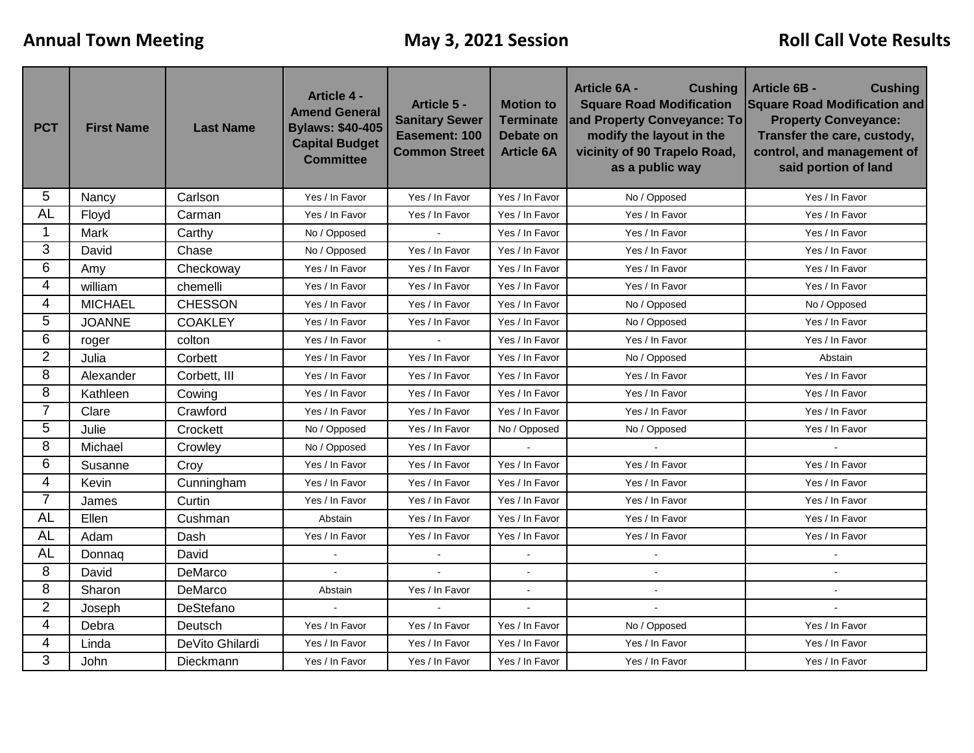| <b>PCT</b>     | <b>First Name</b>                                                                                | <b>Last Name</b> | <b>Article 4 -</b><br><b>Amend General</b><br><b>Bylaws: \$40-405</b><br><b>Capital Budget</b><br><b>Committee</b> | Article 5 -<br><b>Sanitary Sewer</b><br>Easement: 100<br><b>Common Street</b> | <b>Motion to</b><br><b>Terminate</b><br><b>Debate on</b><br><b>Article 6A</b> | <b>Cushing</b><br><b>Article 6A -</b><br><b>Square Road Modification</b><br>and Property Conveyance: To<br>modify the layout in the<br>vicinity of 90 Trapelo Road,<br>as a public way | <b>Article 6B -</b><br><b>Cushing</b><br><b>Square Road Modification and</b><br><b>Property Conveyance:</b><br>Transfer the care, custody,<br>control, and management of<br>said portion of land |  |
|----------------|--------------------------------------------------------------------------------------------------|------------------|--------------------------------------------------------------------------------------------------------------------|-------------------------------------------------------------------------------|-------------------------------------------------------------------------------|----------------------------------------------------------------------------------------------------------------------------------------------------------------------------------------|--------------------------------------------------------------------------------------------------------------------------------------------------------------------------------------------------|--|
| 5              | Nancy                                                                                            | Carlson          | Yes / In Favor                                                                                                     | Yes / In Favor                                                                | Yes / In Favor                                                                | No / Opposed                                                                                                                                                                           | Yes / In Favor                                                                                                                                                                                   |  |
| <b>AL</b>      | Floyd                                                                                            | Carman           | Yes / In Favor<br>Yes / In Favor<br>Yes / In Favor<br>Yes / In Favor                                               |                                                                               |                                                                               | Yes / In Favor                                                                                                                                                                         |                                                                                                                                                                                                  |  |
|                | Mark                                                                                             | Carthy           | No / Opposed                                                                                                       |                                                                               | Yes / In Favor                                                                | Yes / In Favor                                                                                                                                                                         | Yes / In Favor                                                                                                                                                                                   |  |
| 3              | David                                                                                            | Chase            | No / Opposed                                                                                                       | Yes / In Favor                                                                | Yes / In Favor                                                                | Yes / In Favor                                                                                                                                                                         | Yes / In Favor                                                                                                                                                                                   |  |
| 6              | Amy                                                                                              | Checkoway        | Yes / In Favor                                                                                                     | Yes / In Favor                                                                | Yes / In Favor                                                                | Yes / In Favor                                                                                                                                                                         | Yes / In Favor                                                                                                                                                                                   |  |
| 4              | william                                                                                          | chemelli         | Yes / In Favor                                                                                                     | Yes / In Favor                                                                | Yes / In Favor                                                                | Yes / In Favor                                                                                                                                                                         | Yes / In Favor                                                                                                                                                                                   |  |
| 4              | <b>MICHAEL</b>                                                                                   | <b>CHESSON</b>   | Yes / In Favor                                                                                                     | Yes / In Favor                                                                | Yes / In Favor                                                                | No / Opposed                                                                                                                                                                           | No / Opposed                                                                                                                                                                                     |  |
| 5              | <b>JOANNE</b>                                                                                    | <b>COAKLEY</b>   | Yes / In Favor                                                                                                     | Yes / In Favor                                                                | Yes / In Favor                                                                | No / Opposed                                                                                                                                                                           | Yes / In Favor                                                                                                                                                                                   |  |
| 6              | roger                                                                                            | colton           | Yes / In Favor                                                                                                     |                                                                               | Yes / In Favor                                                                | Yes / In Favor                                                                                                                                                                         | Yes / In Favor                                                                                                                                                                                   |  |
| $\overline{2}$ | Julia                                                                                            | Corbett          | Yes / In Favor                                                                                                     | Yes / In Favor                                                                | Yes / In Favor                                                                | No / Opposed                                                                                                                                                                           | Abstain                                                                                                                                                                                          |  |
| 8              | Alexander                                                                                        | Corbett, III     | Yes / In Favor                                                                                                     | Yes / In Favor                                                                | Yes / In Favor                                                                | Yes / In Favor                                                                                                                                                                         | Yes / In Favor                                                                                                                                                                                   |  |
| 8              | Kathleen                                                                                         | Cowing           | Yes / In Favor                                                                                                     | Yes / In Favor                                                                | Yes / In Favor                                                                | Yes / In Favor                                                                                                                                                                         | Yes / In Favor                                                                                                                                                                                   |  |
| 7              | Clare                                                                                            | Crawford         | Yes / In Favor                                                                                                     | Yes / In Favor                                                                | Yes / In Favor                                                                | Yes / In Favor                                                                                                                                                                         | Yes / In Favor                                                                                                                                                                                   |  |
| 5              | Julie                                                                                            | Crockett         | No / Opposed                                                                                                       | Yes / In Favor                                                                | No / Opposed                                                                  | No / Opposed                                                                                                                                                                           | Yes / In Favor                                                                                                                                                                                   |  |
| 8              | Michael                                                                                          | Crowley          | No / Opposed                                                                                                       | Yes / In Favor                                                                |                                                                               |                                                                                                                                                                                        |                                                                                                                                                                                                  |  |
| 6              | Susanne                                                                                          | Croy             | Yes / In Favor                                                                                                     | Yes / In Favor                                                                | Yes / In Favor                                                                | Yes / In Favor                                                                                                                                                                         | Yes / In Favor                                                                                                                                                                                   |  |
| 4              | Kevin                                                                                            | Cunningham       | Yes / In Favor                                                                                                     | Yes / In Favor                                                                | Yes / In Favor                                                                | Yes / In Favor                                                                                                                                                                         | Yes / In Favor                                                                                                                                                                                   |  |
| $\overline{7}$ | James                                                                                            | Curtin           | Yes / In Favor                                                                                                     | Yes / In Favor                                                                | Yes / In Favor                                                                | Yes / In Favor                                                                                                                                                                         | Yes / In Favor                                                                                                                                                                                   |  |
| <b>AL</b>      | Ellen                                                                                            | Cushman          | Abstain                                                                                                            | Yes / In Favor                                                                | Yes / In Favor                                                                | Yes / In Favor                                                                                                                                                                         | Yes / In Favor                                                                                                                                                                                   |  |
| <b>AL</b>      | Adam                                                                                             | Dash             | Yes / In Favor                                                                                                     | Yes / In Favor                                                                | Yes / In Favor                                                                | Yes / In Favor                                                                                                                                                                         | Yes / In Favor                                                                                                                                                                                   |  |
| <b>AL</b>      | Donnaq                                                                                           | David            |                                                                                                                    |                                                                               |                                                                               |                                                                                                                                                                                        |                                                                                                                                                                                                  |  |
| 8              | David                                                                                            | DeMarco          |                                                                                                                    |                                                                               |                                                                               |                                                                                                                                                                                        |                                                                                                                                                                                                  |  |
| 8              | Sharon                                                                                           | DeMarco          | Abstain                                                                                                            | Yes / In Favor                                                                | $\blacksquare$                                                                |                                                                                                                                                                                        |                                                                                                                                                                                                  |  |
| $\overline{2}$ | Joseph                                                                                           | DeStefano        |                                                                                                                    |                                                                               |                                                                               |                                                                                                                                                                                        |                                                                                                                                                                                                  |  |
| 4              | Debra                                                                                            | Deutsch          | Yes / In Favor                                                                                                     | Yes / In Favor                                                                | Yes / In Favor                                                                | No / Opposed                                                                                                                                                                           | Yes / In Favor                                                                                                                                                                                   |  |
| 4              | Linda<br>DeVito Ghilardi<br>Yes / In Favor<br>Yes / In Favor<br>Yes / In Favor<br>Yes / In Favor |                  |                                                                                                                    | Yes / In Favor                                                                |                                                                               |                                                                                                                                                                                        |                                                                                                                                                                                                  |  |
| 3              | John                                                                                             | Dieckmann        | Yes / In Favor                                                                                                     | Yes / In Favor                                                                | Yes / In Favor                                                                | Yes / In Favor                                                                                                                                                                         | Yes / In Favor                                                                                                                                                                                   |  |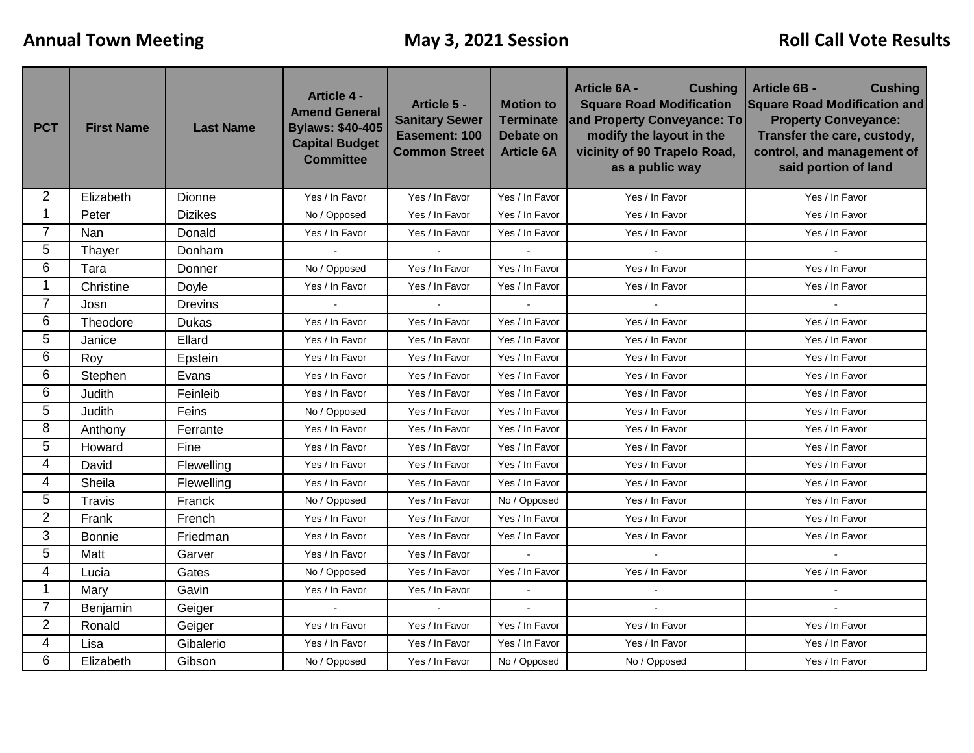| <b>PCT</b>     | <b>First Name</b>       | <b>Last Name</b> | <b>Article 4 -</b><br><b>Amend General</b><br><b>Bylaws: \$40-405</b><br><b>Capital Budget</b><br><b>Committee</b> | Article 5 -<br><b>Sanitary Sewer</b><br>Easement: 100<br><b>Common Street</b> | <b>Motion to</b><br><b>Terminate</b><br><b>Debate on</b><br><b>Article 6A</b> | <b>Cushing</b><br><b>Article 6A -</b><br><b>Square Road Modification</b><br>and Property Conveyance: To<br>modify the layout in the<br>vicinity of 90 Trapelo Road,<br>as a public way | <b>Article 6B -</b><br><b>Cushing</b><br><b>Square Road Modification and</b><br><b>Property Conveyance:</b><br>Transfer the care, custody,<br>control, and management of<br>said portion of land |  |
|----------------|-------------------------|------------------|--------------------------------------------------------------------------------------------------------------------|-------------------------------------------------------------------------------|-------------------------------------------------------------------------------|----------------------------------------------------------------------------------------------------------------------------------------------------------------------------------------|--------------------------------------------------------------------------------------------------------------------------------------------------------------------------------------------------|--|
| 2              | Elizabeth               | Dionne           | Yes / In Favor                                                                                                     | Yes / In Favor                                                                | Yes / In Favor                                                                | Yes / In Favor                                                                                                                                                                         | Yes / In Favor                                                                                                                                                                                   |  |
| 1              | <b>Dizikes</b><br>Peter |                  | No / Opposed                                                                                                       | Yes / In Favor                                                                | Yes / In Favor                                                                | Yes / In Favor                                                                                                                                                                         | Yes / In Favor                                                                                                                                                                                   |  |
| $\overline{7}$ | Nan                     | Donald           | Yes / In Favor                                                                                                     | Yes / In Favor                                                                | Yes / In Favor                                                                | Yes / In Favor                                                                                                                                                                         | Yes / In Favor                                                                                                                                                                                   |  |
| 5              | Thayer                  | Donham           | $\bullet$                                                                                                          | $\omega$                                                                      | $\blacksquare$                                                                | $\omega$                                                                                                                                                                               | $\mathbf{r}$                                                                                                                                                                                     |  |
| 6              | Tara                    | Donner           | No / Opposed                                                                                                       | Yes / In Favor                                                                | Yes / In Favor                                                                | Yes / In Favor                                                                                                                                                                         | Yes / In Favor                                                                                                                                                                                   |  |
| 1              | Christine               | Doyle            | Yes / In Favor                                                                                                     | Yes / In Favor                                                                | Yes / In Favor                                                                | Yes / In Favor                                                                                                                                                                         | Yes / In Favor                                                                                                                                                                                   |  |
| 7              | Josn                    | <b>Drevins</b>   |                                                                                                                    |                                                                               |                                                                               |                                                                                                                                                                                        |                                                                                                                                                                                                  |  |
| 6              | Theodore                | Dukas            | Yes / In Favor                                                                                                     | Yes / In Favor                                                                | Yes / In Favor                                                                | Yes / In Favor                                                                                                                                                                         | Yes / In Favor                                                                                                                                                                                   |  |
| 5              | Janice                  | Ellard           | Yes / In Favor                                                                                                     | Yes / In Favor                                                                | Yes / In Favor                                                                | Yes / In Favor                                                                                                                                                                         | Yes / In Favor                                                                                                                                                                                   |  |
| 6              | Roy                     | Epstein          | Yes / In Favor                                                                                                     | Yes / In Favor                                                                | Yes / In Favor                                                                | Yes / In Favor                                                                                                                                                                         | Yes / In Favor                                                                                                                                                                                   |  |
| 6              | Stephen                 | Evans            | Yes / In Favor                                                                                                     | Yes / In Favor                                                                | Yes / In Favor                                                                | Yes / In Favor                                                                                                                                                                         | Yes / In Favor                                                                                                                                                                                   |  |
| 6              | Judith                  | Feinleib         | Yes / In Favor                                                                                                     | Yes / In Favor                                                                | Yes / In Favor<br>Yes / In Favor                                              |                                                                                                                                                                                        | Yes / In Favor                                                                                                                                                                                   |  |
| 5              | Judith                  | Feins            | No / Opposed                                                                                                       | Yes / In Favor                                                                | Yes / In Favor                                                                | Yes / In Favor                                                                                                                                                                         | Yes / In Favor                                                                                                                                                                                   |  |
| 8              | Anthony                 | Ferrante         | Yes / In Favor                                                                                                     | Yes / In Favor                                                                | Yes / In Favor                                                                | Yes / In Favor                                                                                                                                                                         | Yes / In Favor                                                                                                                                                                                   |  |
| 5              | Howard                  | Fine             | Yes / In Favor                                                                                                     | Yes / In Favor                                                                | Yes / In Favor                                                                | Yes / In Favor                                                                                                                                                                         | Yes / In Favor                                                                                                                                                                                   |  |
| 4              | David                   | Flewelling       | Yes / In Favor                                                                                                     | Yes / In Favor                                                                | Yes / In Favor                                                                | Yes / In Favor                                                                                                                                                                         | Yes / In Favor                                                                                                                                                                                   |  |
| 4              | Sheila                  | Flewelling       | Yes / In Favor                                                                                                     | Yes / In Favor                                                                | Yes / In Favor                                                                | Yes / In Favor                                                                                                                                                                         | Yes / In Favor                                                                                                                                                                                   |  |
| 5              | Travis                  | Franck           | No / Opposed                                                                                                       | Yes / In Favor                                                                | No / Opposed                                                                  | Yes / In Favor                                                                                                                                                                         | Yes / In Favor                                                                                                                                                                                   |  |
| $\overline{2}$ | Frank                   | French           | Yes / In Favor                                                                                                     | Yes / In Favor                                                                | Yes / In Favor                                                                | Yes / In Favor                                                                                                                                                                         | Yes / In Favor                                                                                                                                                                                   |  |
| 3              | <b>Bonnie</b>           | Friedman         | Yes / In Favor                                                                                                     | Yes / In Favor                                                                | Yes / In Favor                                                                | Yes / In Favor                                                                                                                                                                         | Yes / In Favor                                                                                                                                                                                   |  |
| 5              | Matt                    | Garver           | Yes / In Favor                                                                                                     | Yes / In Favor                                                                | $\sim$                                                                        | $\overline{a}$                                                                                                                                                                         | $\sim$                                                                                                                                                                                           |  |
| 4              | Lucia                   | Gates            | No / Opposed                                                                                                       | Yes / In Favor                                                                | Yes / In Favor                                                                | Yes / In Favor                                                                                                                                                                         | Yes / In Favor                                                                                                                                                                                   |  |
| $\mathbf 1$    | Mary                    | Gavin            | Yes / In Favor                                                                                                     | Yes / In Favor                                                                |                                                                               |                                                                                                                                                                                        |                                                                                                                                                                                                  |  |
| $\overline{7}$ | Benjamin                | Geiger           |                                                                                                                    |                                                                               |                                                                               |                                                                                                                                                                                        |                                                                                                                                                                                                  |  |
| $\overline{2}$ | Ronald                  | Geiger           | Yes / In Favor                                                                                                     | Yes / In Favor                                                                | Yes / In Favor                                                                | Yes / In Favor                                                                                                                                                                         | Yes / In Favor                                                                                                                                                                                   |  |
| 4              | Lisa                    | Gibalerio        | Yes / In Favor                                                                                                     | Yes / In Favor                                                                | Yes / In Favor                                                                | Yes / In Favor                                                                                                                                                                         | Yes / In Favor                                                                                                                                                                                   |  |
| 6              | Elizabeth               | Gibson           | No / Opposed                                                                                                       | Yes / In Favor                                                                | No / Opposed                                                                  | No / Opposed                                                                                                                                                                           | Yes / In Favor                                                                                                                                                                                   |  |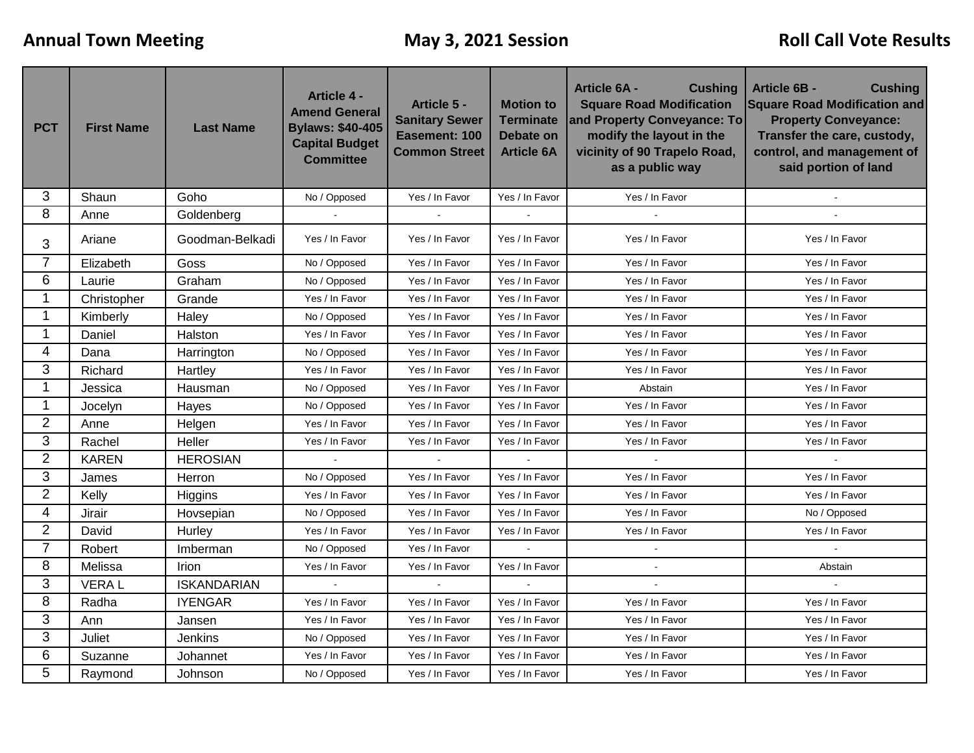| <b>PCT</b>     | <b>First Name</b> | <b>Last Name</b>   | <b>Article 4 -</b><br><b>Amend General</b><br><b>Bylaws: \$40-405</b><br><b>Capital Budget</b><br><b>Committee</b> | Article 5 -<br><b>Sanitary Sewer</b><br>Easement: 100<br><b>Common Street</b> | <b>Motion to</b><br><b>Terminate</b><br><b>Debate on</b><br><b>Article 6A</b> | <b>Article 6A -</b><br><b>Cushing</b><br><b>Square Road Modification</b><br>and Property Conveyance: To<br>modify the layout in the<br>vicinity of 90 Trapelo Road,<br>as a public way | <b>Article 6B -</b><br><b>Cushing</b><br><b>Square Road Modification and</b><br><b>Property Conveyance:</b><br>Transfer the care, custody,<br>control, and management of<br>said portion of land |  |
|----------------|-------------------|--------------------|--------------------------------------------------------------------------------------------------------------------|-------------------------------------------------------------------------------|-------------------------------------------------------------------------------|----------------------------------------------------------------------------------------------------------------------------------------------------------------------------------------|--------------------------------------------------------------------------------------------------------------------------------------------------------------------------------------------------|--|
| 3              | Shaun             | Goho               | No / Opposed                                                                                                       | Yes / In Favor                                                                | Yes / In Favor                                                                | Yes / In Favor                                                                                                                                                                         | $\sim$                                                                                                                                                                                           |  |
| 8              | Anne              | Goldenberg         |                                                                                                                    |                                                                               |                                                                               | $\mathbf{r}$                                                                                                                                                                           |                                                                                                                                                                                                  |  |
| 3              | Ariane            | Goodman-Belkadi    | Yes / In Favor                                                                                                     | Yes / In Favor                                                                | Yes / In Favor                                                                | Yes / In Favor                                                                                                                                                                         | Yes / In Favor                                                                                                                                                                                   |  |
| 7              | Elizabeth         | Goss               | No / Opposed                                                                                                       | Yes / In Favor                                                                | Yes / In Favor                                                                | Yes / In Favor                                                                                                                                                                         | Yes / In Favor                                                                                                                                                                                   |  |
| 6              | Laurie            | Graham             | No / Opposed                                                                                                       | Yes / In Favor                                                                | Yes / In Favor                                                                | Yes / In Favor                                                                                                                                                                         | Yes / In Favor                                                                                                                                                                                   |  |
| 1              | Christopher       | Grande             | Yes / In Favor                                                                                                     | Yes / In Favor                                                                | Yes / In Favor                                                                | Yes / In Favor                                                                                                                                                                         | Yes / In Favor                                                                                                                                                                                   |  |
| 1              | Kimberly          | Haley              | No / Opposed                                                                                                       | Yes / In Favor                                                                | Yes / In Favor                                                                | Yes / In Favor                                                                                                                                                                         | Yes / In Favor                                                                                                                                                                                   |  |
| 1              | Daniel            | Halston            | Yes / In Favor                                                                                                     | Yes / In Favor                                                                | Yes / In Favor                                                                | Yes / In Favor                                                                                                                                                                         | Yes / In Favor                                                                                                                                                                                   |  |
| 4              | Dana              | Harrington         | No / Opposed                                                                                                       | Yes / In Favor                                                                | Yes / In Favor                                                                | Yes / In Favor                                                                                                                                                                         | Yes / In Favor                                                                                                                                                                                   |  |
| 3              | Richard           | Hartley            | Yes / In Favor                                                                                                     | Yes / In Favor                                                                | Yes / In Favor                                                                | Yes / In Favor                                                                                                                                                                         | Yes / In Favor                                                                                                                                                                                   |  |
| 1              | Jessica           | Hausman            | No / Opposed                                                                                                       | Yes / In Favor                                                                | Yes / In Favor                                                                | Abstain                                                                                                                                                                                | Yes / In Favor                                                                                                                                                                                   |  |
| 1              | Jocelyn           | Hayes              | No / Opposed                                                                                                       | Yes / In Favor                                                                | Yes / In Favor                                                                | Yes / In Favor                                                                                                                                                                         | Yes / In Favor                                                                                                                                                                                   |  |
| $\overline{2}$ | Anne              | Helgen             | Yes / In Favor                                                                                                     | Yes / In Favor                                                                | Yes / In Favor                                                                | Yes / In Favor                                                                                                                                                                         | Yes / In Favor                                                                                                                                                                                   |  |
| 3              | Rachel            | Heller             | Yes / In Favor                                                                                                     | Yes / In Favor                                                                | Yes / In Favor                                                                | Yes / In Favor                                                                                                                                                                         | Yes / In Favor                                                                                                                                                                                   |  |
| $\overline{2}$ | <b>KAREN</b>      | <b>HEROSIAN</b>    |                                                                                                                    |                                                                               |                                                                               | $\mathbf{r}$                                                                                                                                                                           | $\mathbf{r}$                                                                                                                                                                                     |  |
| 3              | James             | Herron             | No / Opposed                                                                                                       | Yes / In Favor                                                                | Yes / In Favor                                                                | Yes / In Favor                                                                                                                                                                         | Yes / In Favor                                                                                                                                                                                   |  |
| $\overline{2}$ | Kelly             | Higgins            | Yes / In Favor                                                                                                     | Yes / In Favor                                                                | Yes / In Favor                                                                | Yes / In Favor                                                                                                                                                                         | Yes / In Favor                                                                                                                                                                                   |  |
| 4              | Jirair            | Hovsepian          | No / Opposed                                                                                                       | Yes / In Favor                                                                | Yes / In Favor                                                                | Yes / In Favor                                                                                                                                                                         | No / Opposed                                                                                                                                                                                     |  |
| $\overline{2}$ | David             | Hurley             | Yes / In Favor                                                                                                     | Yes / In Favor                                                                | Yes / In Favor                                                                | Yes / In Favor                                                                                                                                                                         | Yes / In Favor                                                                                                                                                                                   |  |
| $\overline{7}$ | Robert            | Imberman           | No / Opposed                                                                                                       | Yes / In Favor                                                                | $\omega$                                                                      | $\blacksquare$                                                                                                                                                                         | $\blacksquare$                                                                                                                                                                                   |  |
| 8              | Melissa           | <b>Irion</b>       | Yes / In Favor                                                                                                     | Yes / In Favor                                                                | Yes / In Favor                                                                | $\sim$                                                                                                                                                                                 | Abstain                                                                                                                                                                                          |  |
| 3              | <b>VERAL</b>      | <b>ISKANDARIAN</b> | $\sim$                                                                                                             |                                                                               |                                                                               |                                                                                                                                                                                        |                                                                                                                                                                                                  |  |
| 8              | Radha             | <b>IYENGAR</b>     | Yes / In Favor                                                                                                     | Yes / In Favor                                                                | Yes / In Favor                                                                | Yes / In Favor                                                                                                                                                                         | Yes / In Favor                                                                                                                                                                                   |  |
| 3              | Ann               | Jansen             | Yes / In Favor                                                                                                     | Yes / In Favor                                                                | Yes / In Favor                                                                | Yes / In Favor                                                                                                                                                                         | Yes / In Favor                                                                                                                                                                                   |  |
| 3              | Juliet            | Jenkins            | No / Opposed                                                                                                       | Yes / In Favor                                                                | Yes / In Favor                                                                | Yes / In Favor                                                                                                                                                                         | Yes / In Favor                                                                                                                                                                                   |  |
| 6              | Suzanne           | Johannet           | Yes / In Favor                                                                                                     | Yes / In Favor                                                                | Yes / In Favor                                                                | Yes / In Favor                                                                                                                                                                         | Yes / In Favor                                                                                                                                                                                   |  |
| 5              | Raymond           | Johnson            | No / Opposed                                                                                                       | Yes / In Favor                                                                | Yes / In Favor                                                                | Yes / In Favor                                                                                                                                                                         | Yes / In Favor                                                                                                                                                                                   |  |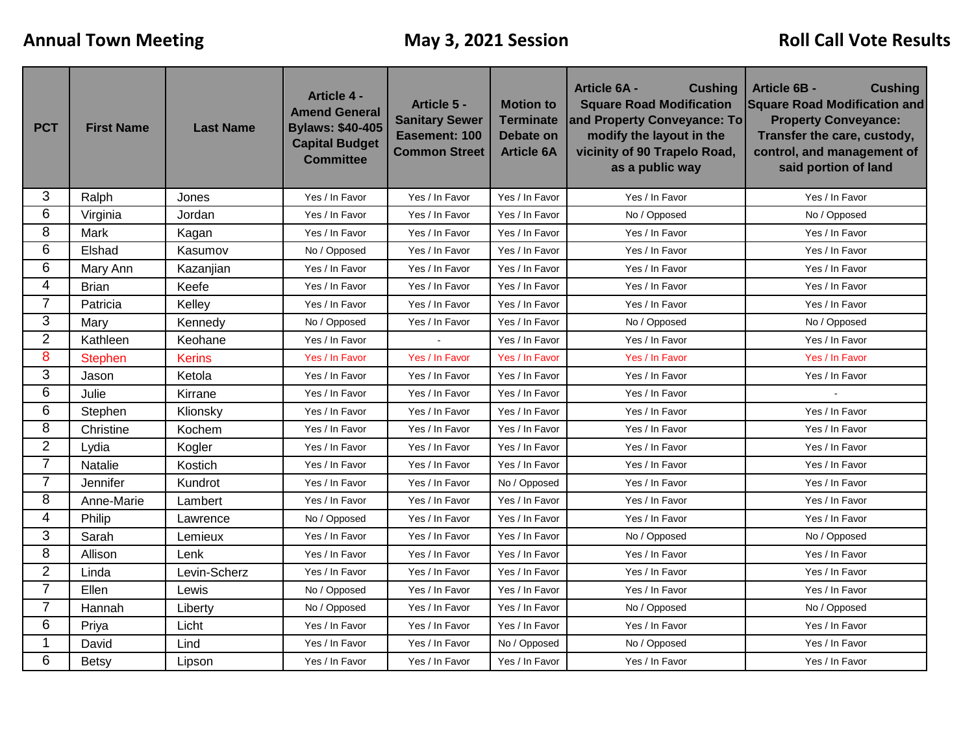| <b>PCT</b>     | <b>First Name</b> | <b>Last Name</b> | <b>Article 4 -</b><br><b>Amend General</b><br><b>Bylaws: \$40-405</b><br><b>Capital Budget</b><br><b>Committee</b> | Article 5 -<br><b>Sanitary Sewer</b><br>Easement: 100<br><b>Common Street</b> | <b>Motion to</b><br><b>Terminate</b><br>Debate on<br><b>Article 6A</b> | <b>Cushing</b><br><b>Article 6A -</b><br><b>Square Road Modification</b><br>and Property Conveyance: To<br>modify the layout in the<br>vicinity of 90 Trapelo Road,<br>as a public way | <b>Article 6B -</b><br><b>Cushing</b><br><b>Square Road Modification and</b><br><b>Property Conveyance:</b><br>Transfer the care, custody,<br>control, and management of<br>said portion of land |  |
|----------------|-------------------|------------------|--------------------------------------------------------------------------------------------------------------------|-------------------------------------------------------------------------------|------------------------------------------------------------------------|----------------------------------------------------------------------------------------------------------------------------------------------------------------------------------------|--------------------------------------------------------------------------------------------------------------------------------------------------------------------------------------------------|--|
| 3              | Ralph             | Jones            | Yes / In Favor                                                                                                     | Yes / In Favor                                                                | Yes / In Favor                                                         | Yes / In Favor                                                                                                                                                                         | Yes / In Favor                                                                                                                                                                                   |  |
| 6              | Virginia          | Jordan           | Yes / In Favor<br>Yes / In Favor<br>Yes / In Favor<br>No / Opposed                                                 |                                                                               |                                                                        | No / Opposed                                                                                                                                                                           |                                                                                                                                                                                                  |  |
| 8              | Mark              | Kagan            | Yes / In Favor                                                                                                     | Yes / In Favor                                                                | Yes / In Favor                                                         | Yes / In Favor                                                                                                                                                                         | Yes / In Favor                                                                                                                                                                                   |  |
| 6              | Elshad            | Kasumov          | No / Opposed                                                                                                       | Yes / In Favor                                                                | Yes / In Favor                                                         | Yes / In Favor                                                                                                                                                                         | Yes / In Favor                                                                                                                                                                                   |  |
| 6              | Mary Ann          | Kazanjian        | Yes / In Favor                                                                                                     | Yes / In Favor                                                                | Yes / In Favor                                                         | Yes / In Favor                                                                                                                                                                         | Yes / In Favor                                                                                                                                                                                   |  |
| 4              | <b>Brian</b>      | Keefe            | Yes / In Favor                                                                                                     | Yes / In Favor                                                                | Yes / In Favor                                                         | Yes / In Favor                                                                                                                                                                         | Yes / In Favor                                                                                                                                                                                   |  |
| 7              | Patricia          | Kelley           | Yes / In Favor                                                                                                     | Yes / In Favor                                                                | Yes / In Favor                                                         | Yes / In Favor                                                                                                                                                                         | Yes / In Favor                                                                                                                                                                                   |  |
| 3              | Mary              | Kennedy          | No / Opposed                                                                                                       | Yes / In Favor                                                                | Yes / In Favor                                                         | No / Opposed                                                                                                                                                                           | No / Opposed                                                                                                                                                                                     |  |
| $\overline{2}$ | Kathleen          | Keohane          | Yes / In Favor                                                                                                     |                                                                               | Yes / In Favor                                                         | Yes / In Favor                                                                                                                                                                         | Yes / In Favor                                                                                                                                                                                   |  |
| 8              | <b>Stephen</b>    | <b>Kerins</b>    | Yes / In Favor                                                                                                     | Yes / In Favor                                                                | Yes / In Favor                                                         | Yes / In Favor                                                                                                                                                                         | Yes / In Favor                                                                                                                                                                                   |  |
| 3              | Jason             | Ketola           | Yes / In Favor                                                                                                     | Yes / In Favor                                                                | Yes / In Favor                                                         | Yes / In Favor                                                                                                                                                                         | Yes / In Favor                                                                                                                                                                                   |  |
| 6              | Julie             | Kirrane          | Yes / In Favor                                                                                                     | Yes / In Favor                                                                | Yes / In Favor                                                         | Yes / In Favor                                                                                                                                                                         |                                                                                                                                                                                                  |  |
| 6              | Stephen           | Klionsky         | Yes / In Favor                                                                                                     | Yes / In Favor                                                                | Yes / In Favor                                                         | Yes / In Favor                                                                                                                                                                         | Yes / In Favor                                                                                                                                                                                   |  |
| 8              | Christine         | Kochem           | Yes / In Favor                                                                                                     | Yes / In Favor                                                                | Yes / In Favor                                                         | Yes / In Favor                                                                                                                                                                         | Yes / In Favor                                                                                                                                                                                   |  |
| $\overline{2}$ | Lydia             | Kogler           | Yes / In Favor                                                                                                     | Yes / In Favor                                                                | Yes / In Favor                                                         | Yes / In Favor                                                                                                                                                                         | Yes / In Favor                                                                                                                                                                                   |  |
| $\overline{7}$ | Natalie           | Kostich          | Yes / In Favor                                                                                                     | Yes / In Favor                                                                | Yes / In Favor                                                         | Yes / In Favor                                                                                                                                                                         | Yes / In Favor                                                                                                                                                                                   |  |
| 7              | Jennifer          | Kundrot          | Yes / In Favor                                                                                                     | Yes / In Favor                                                                | No / Opposed                                                           | Yes / In Favor                                                                                                                                                                         | Yes / In Favor                                                                                                                                                                                   |  |
| 8              | Anne-Marie        | Lambert          | Yes / In Favor                                                                                                     | Yes / In Favor                                                                | Yes / In Favor                                                         | Yes / In Favor                                                                                                                                                                         | Yes / In Favor                                                                                                                                                                                   |  |
| 4              | Philip            | Lawrence         | No / Opposed                                                                                                       | Yes / In Favor                                                                | Yes / In Favor                                                         | Yes / In Favor                                                                                                                                                                         | Yes / In Favor                                                                                                                                                                                   |  |
| 3              | Sarah             | Lemieux          | Yes / In Favor                                                                                                     | Yes / In Favor                                                                | Yes / In Favor                                                         | No / Opposed                                                                                                                                                                           | No / Opposed                                                                                                                                                                                     |  |
| 8              | Allison           | Lenk             | Yes / In Favor                                                                                                     | Yes / In Favor                                                                | Yes / In Favor                                                         | Yes / In Favor                                                                                                                                                                         | Yes / In Favor                                                                                                                                                                                   |  |
| $\overline{2}$ | Linda             | Levin-Scherz     | Yes / In Favor                                                                                                     | Yes / In Favor                                                                | Yes / In Favor                                                         | Yes / In Favor                                                                                                                                                                         | Yes / In Favor                                                                                                                                                                                   |  |
| 7              | Ellen             | Lewis            | No / Opposed                                                                                                       | Yes / In Favor                                                                | Yes / In Favor                                                         | Yes / In Favor                                                                                                                                                                         | Yes / In Favor                                                                                                                                                                                   |  |
| $\overline{7}$ | Hannah            | Liberty          | No / Opposed                                                                                                       | Yes / In Favor                                                                | Yes / In Favor                                                         | No / Opposed                                                                                                                                                                           | No / Opposed                                                                                                                                                                                     |  |
| 6              | Priya             | Licht            | Yes / In Favor                                                                                                     | Yes / In Favor                                                                | Yes / In Favor                                                         | Yes / In Favor                                                                                                                                                                         | Yes / In Favor                                                                                                                                                                                   |  |
| 1              | David             | Lind             | Yes / In Favor                                                                                                     | Yes / In Favor                                                                | No / Opposed                                                           | No / Opposed                                                                                                                                                                           | Yes / In Favor                                                                                                                                                                                   |  |
| 6              | <b>Betsy</b>      | Lipson           | Yes / In Favor                                                                                                     | Yes / In Favor                                                                | Yes / In Favor                                                         | Yes / In Favor                                                                                                                                                                         | Yes / In Favor                                                                                                                                                                                   |  |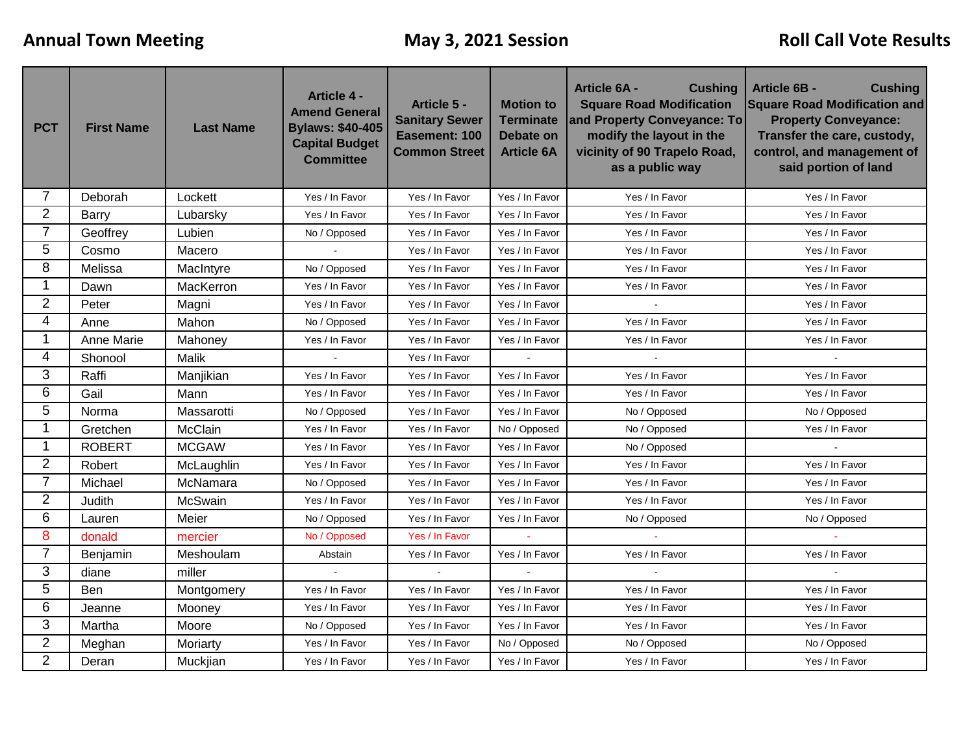| <b>PCT</b>     | <b>First Name</b>  | <b>Last Name</b> | <b>Article 4 -</b><br><b>Amend General</b><br><b>Bylaws: \$40-405</b><br><b>Capital Budget</b><br><b>Committee</b> | Article 5 -<br><b>Sanitary Sewer</b><br>Easement: 100<br><b>Common Street</b> | <b>Motion to</b><br><b>Terminate</b><br>Debate on<br><b>Article 6A</b> | <b>Article 6A -</b><br><b>Cushing</b><br><b>Square Road Modification</b><br>and Property Conveyance: To<br>modify the layout in the<br>vicinity of 90 Trapelo Road,<br>as a public way | <b>Article 6B -</b><br><b>Cushing</b><br><b>Square Road Modification and</b><br><b>Property Conveyance:</b><br>Transfer the care, custody,<br>control, and management of<br>said portion of land |  |
|----------------|--------------------|------------------|--------------------------------------------------------------------------------------------------------------------|-------------------------------------------------------------------------------|------------------------------------------------------------------------|----------------------------------------------------------------------------------------------------------------------------------------------------------------------------------------|--------------------------------------------------------------------------------------------------------------------------------------------------------------------------------------------------|--|
| 7              | Deborah            | Lockett          | Yes / In Favor                                                                                                     | Yes / In Favor                                                                | Yes / In Favor                                                         | Yes / In Favor                                                                                                                                                                         | Yes / In Favor                                                                                                                                                                                   |  |
| $\overline{2}$ | Barry              | Lubarsky         | Yes / In Favor                                                                                                     | Yes / In Favor                                                                | Yes / In Favor                                                         | Yes / In Favor                                                                                                                                                                         | Yes / In Favor                                                                                                                                                                                   |  |
| $\overline{7}$ | Geoffrey<br>Lubien |                  | No / Opposed                                                                                                       | Yes / In Favor                                                                | Yes / In Favor                                                         | Yes / In Favor                                                                                                                                                                         | Yes / In Favor                                                                                                                                                                                   |  |
| 5              | Cosmo              | Macero           | $\sim$                                                                                                             | Yes / In Favor                                                                | Yes / In Favor                                                         | Yes / In Favor                                                                                                                                                                         | Yes / In Favor                                                                                                                                                                                   |  |
| 8              | Melissa            | MacIntyre        | No / Opposed                                                                                                       | Yes / In Favor                                                                | Yes / In Favor                                                         | Yes / In Favor                                                                                                                                                                         | Yes / In Favor                                                                                                                                                                                   |  |
| 1              | Dawn               | MacKerron        | Yes / In Favor                                                                                                     | Yes / In Favor                                                                | Yes / In Favor                                                         | Yes / In Favor                                                                                                                                                                         | Yes / In Favor                                                                                                                                                                                   |  |
| $\overline{2}$ | Peter              | Magni            | Yes / In Favor                                                                                                     | Yes / In Favor                                                                | Yes / In Favor                                                         |                                                                                                                                                                                        | Yes / In Favor                                                                                                                                                                                   |  |
| 4              | Anne               | Mahon            | No / Opposed                                                                                                       | Yes / In Favor                                                                | Yes / In Favor                                                         | Yes / In Favor                                                                                                                                                                         | Yes / In Favor                                                                                                                                                                                   |  |
| 1              | Anne Marie         | Mahoney          | Yes / In Favor                                                                                                     | Yes / In Favor                                                                | Yes / In Favor                                                         | Yes / In Favor                                                                                                                                                                         | Yes / In Favor                                                                                                                                                                                   |  |
| 4              | Shonool            | Malik            |                                                                                                                    | Yes / In Favor                                                                |                                                                        |                                                                                                                                                                                        |                                                                                                                                                                                                  |  |
| 3              | Raffi<br>Manjikian |                  | Yes / In Favor                                                                                                     | Yes / In Favor                                                                | Yes / In Favor                                                         | Yes / In Favor                                                                                                                                                                         | Yes / In Favor                                                                                                                                                                                   |  |
| 6              | Gail               | Mann             | Yes / In Favor                                                                                                     | Yes / In Favor                                                                | Yes / In Favor<br>Yes / In Favor                                       |                                                                                                                                                                                        | Yes / In Favor                                                                                                                                                                                   |  |
| $\overline{5}$ | Norma              | Massarotti       | No / Opposed                                                                                                       | Yes / In Favor                                                                | Yes / In Favor                                                         | No / Opposed                                                                                                                                                                           | No / Opposed                                                                                                                                                                                     |  |
| 1              | Gretchen           | McClain          | Yes / In Favor                                                                                                     | Yes / In Favor                                                                | No / Opposed                                                           | No / Opposed                                                                                                                                                                           | Yes / In Favor                                                                                                                                                                                   |  |
| 1              | <b>ROBERT</b>      | <b>MCGAW</b>     | Yes / In Favor                                                                                                     | Yes / In Favor                                                                | Yes / In Favor                                                         | No / Opposed                                                                                                                                                                           |                                                                                                                                                                                                  |  |
| $\overline{2}$ | Robert             | McLaughlin       | Yes / In Favor                                                                                                     | Yes / In Favor                                                                | Yes / In Favor                                                         | Yes / In Favor                                                                                                                                                                         | Yes / In Favor                                                                                                                                                                                   |  |
| $\overline{7}$ | Michael            | McNamara         | No / Opposed                                                                                                       | Yes / In Favor                                                                | Yes / In Favor                                                         | Yes / In Favor                                                                                                                                                                         | Yes / In Favor                                                                                                                                                                                   |  |
| $\overline{2}$ | Judith             | McSwain          | Yes / In Favor                                                                                                     | Yes / In Favor                                                                | Yes / In Favor                                                         | Yes / In Favor                                                                                                                                                                         | Yes / In Favor                                                                                                                                                                                   |  |
| 6              | Lauren             | Meier            | No / Opposed                                                                                                       | Yes / In Favor                                                                | Yes / In Favor                                                         | No / Opposed                                                                                                                                                                           | No / Opposed                                                                                                                                                                                     |  |
| 8              | donald             | mercier          | No / Opposed                                                                                                       | Yes / In Favor                                                                |                                                                        |                                                                                                                                                                                        |                                                                                                                                                                                                  |  |
| 7              | Benjamin           | Meshoulam        | Abstain                                                                                                            | Yes / In Favor                                                                | Yes / In Favor                                                         | Yes / In Favor                                                                                                                                                                         | Yes / In Favor                                                                                                                                                                                   |  |
| 3              | diane              | miller           | $\blacksquare$                                                                                                     |                                                                               | $\Box$                                                                 |                                                                                                                                                                                        |                                                                                                                                                                                                  |  |
| 5              | <b>Ben</b>         | Montgomery       | Yes / In Favor                                                                                                     | Yes / In Favor                                                                | Yes / In Favor                                                         | Yes / In Favor                                                                                                                                                                         | Yes / In Favor                                                                                                                                                                                   |  |
| 6              | Jeanne             | Mooney           | Yes / In Favor                                                                                                     | Yes / In Favor                                                                | Yes / In Favor                                                         | Yes / In Favor                                                                                                                                                                         | Yes / In Favor                                                                                                                                                                                   |  |
| 3              | Martha             | Moore            | No / Opposed                                                                                                       | Yes / In Favor                                                                | Yes / In Favor                                                         | Yes / In Favor                                                                                                                                                                         | Yes / In Favor                                                                                                                                                                                   |  |
| $\overline{2}$ | Meghan             | Moriarty         | Yes / In Favor                                                                                                     | Yes / In Favor                                                                | No / Opposed                                                           | No / Opposed                                                                                                                                                                           | No / Opposed                                                                                                                                                                                     |  |
| $\overline{2}$ | Deran              | Muckjian         | Yes / In Favor                                                                                                     | Yes / In Favor                                                                | Yes / In Favor                                                         | Yes / In Favor                                                                                                                                                                         | Yes / In Favor                                                                                                                                                                                   |  |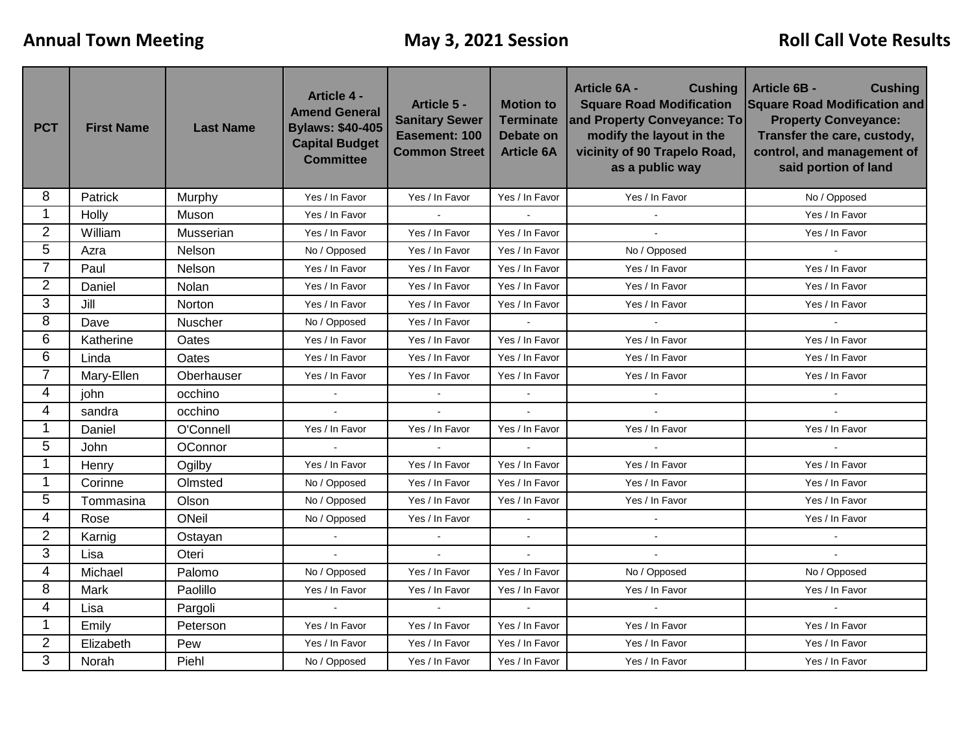| <b>PCT</b>     | <b>First Name</b> | <b>Last Name</b> | <b>Article 4 -</b><br><b>Amend General</b><br><b>Bylaws: \$40-405</b><br><b>Capital Budget</b><br><b>Committee</b> | Article 5 -<br><b>Sanitary Sewer</b><br>Easement: 100<br><b>Common Street</b> | <b>Motion to</b><br><b>Terminate</b><br><b>Debate on</b><br><b>Article 6A</b> | <b>Article 6A -</b><br><b>Cushing</b><br><b>Square Road Modification</b><br>and Property Conveyance: To<br>modify the layout in the<br>vicinity of 90 Trapelo Road,<br>as a public way | <b>Article 6B -</b><br><b>Cushing</b><br><b>Square Road Modification and</b><br><b>Property Conveyance:</b><br>Transfer the care, custody,<br>control, and management of<br>said portion of land |  |
|----------------|-------------------|------------------|--------------------------------------------------------------------------------------------------------------------|-------------------------------------------------------------------------------|-------------------------------------------------------------------------------|----------------------------------------------------------------------------------------------------------------------------------------------------------------------------------------|--------------------------------------------------------------------------------------------------------------------------------------------------------------------------------------------------|--|
| 8              | Patrick           | Murphy           | Yes / In Favor                                                                                                     | Yes / In Favor                                                                | Yes / In Favor                                                                | Yes / In Favor                                                                                                                                                                         | No / Opposed                                                                                                                                                                                     |  |
| 1              | Holly             | Muson            | Yes / In Favor                                                                                                     |                                                                               |                                                                               |                                                                                                                                                                                        | Yes / In Favor                                                                                                                                                                                   |  |
| $\overline{2}$ | William           | Musserian        | Yes / In Favor                                                                                                     | Yes / In Favor                                                                | Yes / In Favor                                                                |                                                                                                                                                                                        | Yes / In Favor                                                                                                                                                                                   |  |
| 5              | Azra              | Nelson           | No / Opposed                                                                                                       | Yes / In Favor                                                                | Yes / In Favor                                                                | No / Opposed                                                                                                                                                                           | $\sim$                                                                                                                                                                                           |  |
| $\overline{7}$ | Paul              | Nelson           | Yes / In Favor                                                                                                     | Yes / In Favor                                                                | Yes / In Favor                                                                | Yes / In Favor                                                                                                                                                                         | Yes / In Favor                                                                                                                                                                                   |  |
| $\overline{2}$ | Daniel            | Nolan            | Yes / In Favor                                                                                                     | Yes / In Favor                                                                | Yes / In Favor                                                                | Yes / In Favor                                                                                                                                                                         | Yes / In Favor                                                                                                                                                                                   |  |
| 3              | Jill              | Norton           | Yes / In Favor                                                                                                     | Yes / In Favor                                                                | Yes / In Favor                                                                | Yes / In Favor                                                                                                                                                                         | Yes / In Favor                                                                                                                                                                                   |  |
| 8              | Dave              | <b>Nuscher</b>   | No / Opposed                                                                                                       | Yes / In Favor                                                                |                                                                               | $\mathbf{r}$                                                                                                                                                                           |                                                                                                                                                                                                  |  |
| 6              | Katherine         | Oates            | Yes / In Favor                                                                                                     | Yes / In Favor                                                                | Yes / In Favor                                                                | Yes / In Favor                                                                                                                                                                         | Yes / In Favor                                                                                                                                                                                   |  |
| 6              | Linda             | Oates            | Yes / In Favor                                                                                                     | Yes / In Favor                                                                | Yes / In Favor                                                                | Yes / In Favor                                                                                                                                                                         | Yes / In Favor                                                                                                                                                                                   |  |
| 7              | Mary-Ellen        | Oberhauser       | Yes / In Favor                                                                                                     | Yes / In Favor                                                                | Yes / In Favor                                                                | Yes / In Favor                                                                                                                                                                         | Yes / In Favor                                                                                                                                                                                   |  |
| 4              | john              | occhino          |                                                                                                                    |                                                                               | $\sim$                                                                        | $\sim$                                                                                                                                                                                 | $\sim$                                                                                                                                                                                           |  |
| 4              | sandra            | occhino          | $\mathbf{r}$                                                                                                       | $\omega$                                                                      | $\Delta$                                                                      |                                                                                                                                                                                        |                                                                                                                                                                                                  |  |
| 1              | Daniel            | O'Connell        | Yes / In Favor                                                                                                     | Yes / In Favor                                                                | Yes / In Favor                                                                | Yes / In Favor                                                                                                                                                                         | Yes / In Favor                                                                                                                                                                                   |  |
| 5              | John              | OConnor          |                                                                                                                    |                                                                               |                                                                               |                                                                                                                                                                                        |                                                                                                                                                                                                  |  |
| 1              | Henry             | Ogilby           | Yes / In Favor                                                                                                     | Yes / In Favor                                                                | Yes / In Favor                                                                | Yes / In Favor                                                                                                                                                                         | Yes / In Favor                                                                                                                                                                                   |  |
| 1              | Corinne           | Olmsted          | No / Opposed                                                                                                       | Yes / In Favor                                                                | Yes / In Favor                                                                | Yes / In Favor                                                                                                                                                                         | Yes / In Favor                                                                                                                                                                                   |  |
| 5              | Tommasina         | Olson            | No / Opposed                                                                                                       | Yes / In Favor                                                                | Yes / In Favor                                                                | Yes / In Favor                                                                                                                                                                         | Yes / In Favor                                                                                                                                                                                   |  |
| 4              | Rose              | ONeil            | No / Opposed                                                                                                       | Yes / In Favor                                                                | $\sim$                                                                        |                                                                                                                                                                                        | Yes / In Favor                                                                                                                                                                                   |  |
| $\overline{2}$ | Karnig            | Ostayan          |                                                                                                                    |                                                                               | $\Delta$                                                                      |                                                                                                                                                                                        |                                                                                                                                                                                                  |  |
| 3              | Lisa              | Oteri            |                                                                                                                    |                                                                               | $\overline{a}$                                                                |                                                                                                                                                                                        |                                                                                                                                                                                                  |  |
| 4              | Michael           | Palomo           | No / Opposed                                                                                                       | Yes / In Favor                                                                | Yes / In Favor                                                                | No / Opposed                                                                                                                                                                           | No / Opposed                                                                                                                                                                                     |  |
| 8              | Mark              | Paolillo         | Yes / In Favor                                                                                                     | Yes / In Favor                                                                | Yes / In Favor                                                                | Yes / In Favor                                                                                                                                                                         | Yes / In Favor                                                                                                                                                                                   |  |
| 4              | Lisa              | Pargoli          | $\mathbf{r}$                                                                                                       | $\mathbf{r}$                                                                  | $\mathbf{r}$                                                                  | $\mathbf{r}$                                                                                                                                                                           |                                                                                                                                                                                                  |  |
| 1              | Emily             | Peterson         | Yes / In Favor                                                                                                     | Yes / In Favor                                                                | Yes / In Favor                                                                | Yes / In Favor                                                                                                                                                                         | Yes / In Favor                                                                                                                                                                                   |  |
| 2              | Elizabeth         | Pew              | Yes / In Favor                                                                                                     | Yes / In Favor                                                                | Yes / In Favor                                                                | Yes / In Favor                                                                                                                                                                         | Yes / In Favor                                                                                                                                                                                   |  |
| 3              | Norah             | Piehl            | No / Opposed                                                                                                       | Yes / In Favor                                                                | Yes / In Favor                                                                | Yes / In Favor                                                                                                                                                                         | Yes / In Favor                                                                                                                                                                                   |  |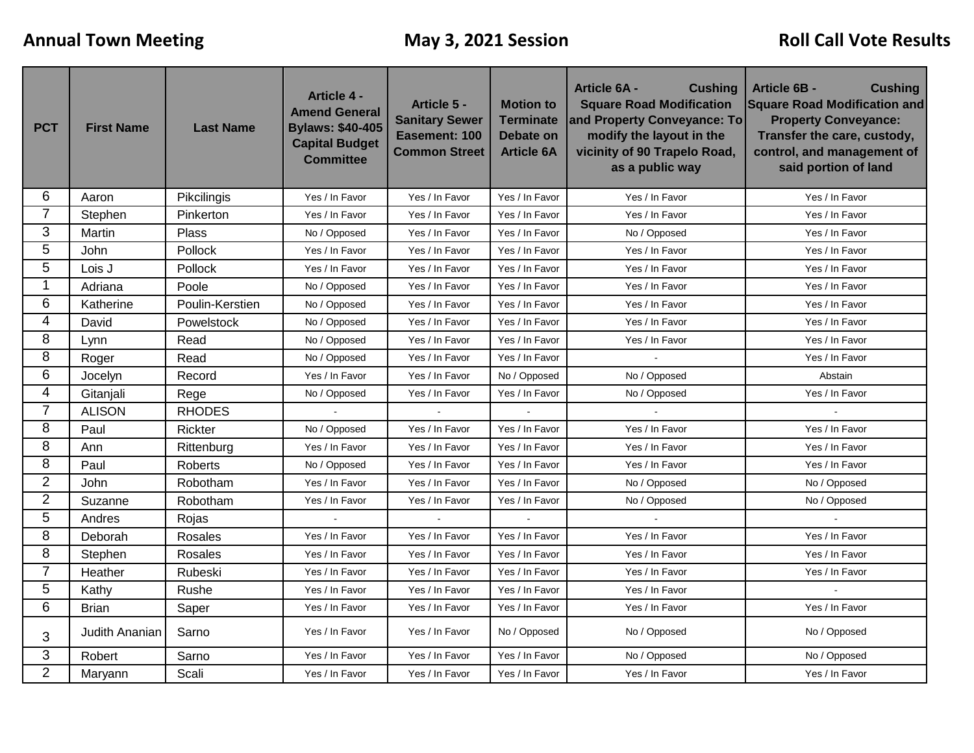| <b>PCT</b>     | <b>First Name</b> | <b>Last Name</b> | <b>Article 4 -</b><br><b>Amend General</b><br><b>Bylaws: \$40-405</b><br><b>Capital Budget</b><br><b>Committee</b> | Article 5 -<br><b>Sanitary Sewer</b><br>Easement: 100<br><b>Common Street</b> | <b>Motion to</b><br><b>Terminate</b><br>Debate on<br><b>Article 6A</b> | <b>Article 6A -</b><br><b>Cushing</b><br><b>Square Road Modification</b><br>and Property Conveyance: To<br>modify the layout in the<br>vicinity of 90 Trapelo Road,<br>as a public way | <b>Article 6B -</b><br><b>Cushing</b><br><b>Square Road Modification and</b><br><b>Property Conveyance:</b><br>Transfer the care, custody,<br>control, and management of<br>said portion of land |  |
|----------------|-------------------|------------------|--------------------------------------------------------------------------------------------------------------------|-------------------------------------------------------------------------------|------------------------------------------------------------------------|----------------------------------------------------------------------------------------------------------------------------------------------------------------------------------------|--------------------------------------------------------------------------------------------------------------------------------------------------------------------------------------------------|--|
| 6              | Aaron             | Pikcilingis      | Yes / In Favor                                                                                                     | Yes / In Favor                                                                | Yes / In Favor                                                         | Yes / In Favor                                                                                                                                                                         | Yes / In Favor                                                                                                                                                                                   |  |
| $\overline{7}$ | Stephen           | Pinkerton        | Yes / In Favor                                                                                                     | Yes / In Favor                                                                | Yes / In Favor                                                         | Yes / In Favor                                                                                                                                                                         | Yes / In Favor                                                                                                                                                                                   |  |
| 3              | Martin            | Plass            | No / Opposed                                                                                                       | Yes / In Favor                                                                | Yes / In Favor                                                         | No / Opposed                                                                                                                                                                           | Yes / In Favor                                                                                                                                                                                   |  |
| 5              | John              | Pollock          | Yes / In Favor                                                                                                     | Yes / In Favor                                                                | Yes / In Favor                                                         | Yes / In Favor                                                                                                                                                                         | Yes / In Favor                                                                                                                                                                                   |  |
| 5              | Lois J            | Pollock          | Yes / In Favor                                                                                                     | Yes / In Favor                                                                | Yes / In Favor                                                         | Yes / In Favor                                                                                                                                                                         | Yes / In Favor                                                                                                                                                                                   |  |
| 1              | Adriana           | Poole            | No / Opposed                                                                                                       | Yes / In Favor                                                                | Yes / In Favor                                                         | Yes / In Favor                                                                                                                                                                         | Yes / In Favor                                                                                                                                                                                   |  |
| 6              | Katherine         | Poulin-Kerstien  | No / Opposed                                                                                                       | Yes / In Favor                                                                | Yes / In Favor                                                         | Yes / In Favor                                                                                                                                                                         | Yes / In Favor                                                                                                                                                                                   |  |
| 4              | David             | Powelstock       | No / Opposed                                                                                                       | Yes / In Favor                                                                | Yes / In Favor                                                         | Yes / In Favor                                                                                                                                                                         | Yes / In Favor                                                                                                                                                                                   |  |
| 8              | Lynn              | Read             | No / Opposed                                                                                                       | Yes / In Favor                                                                | Yes / In Favor                                                         | Yes / In Favor                                                                                                                                                                         | Yes / In Favor                                                                                                                                                                                   |  |
| 8              | Roger             | Read             | No / Opposed                                                                                                       | Yes / In Favor                                                                | Yes / In Favor                                                         |                                                                                                                                                                                        | Yes / In Favor                                                                                                                                                                                   |  |
| 6              | Jocelyn           | Record           | Yes / In Favor                                                                                                     | Yes / In Favor                                                                | No / Opposed                                                           | No / Opposed                                                                                                                                                                           | Abstain                                                                                                                                                                                          |  |
| 4              | Gitanjali         | Rege             | No / Opposed                                                                                                       | Yes / In Favor                                                                | Yes / In Favor                                                         | No / Opposed                                                                                                                                                                           | Yes / In Favor                                                                                                                                                                                   |  |
| $\overline{7}$ | <b>ALISON</b>     | <b>RHODES</b>    |                                                                                                                    | $\overline{a}$                                                                |                                                                        |                                                                                                                                                                                        | $\sim$                                                                                                                                                                                           |  |
| 8              | Paul              | Rickter          | No / Opposed                                                                                                       | Yes / In Favor                                                                | Yes / In Favor                                                         | Yes / In Favor                                                                                                                                                                         | Yes / In Favor                                                                                                                                                                                   |  |
| 8              | Ann               | Rittenburg       | Yes / In Favor                                                                                                     | Yes / In Favor                                                                | Yes / In Favor                                                         | Yes / In Favor                                                                                                                                                                         | Yes / In Favor                                                                                                                                                                                   |  |
| 8              | Paul              | Roberts          | No / Opposed                                                                                                       | Yes / In Favor                                                                | Yes / In Favor                                                         | Yes / In Favor                                                                                                                                                                         | Yes / In Favor                                                                                                                                                                                   |  |
| $\overline{2}$ | John              | Robotham         | Yes / In Favor                                                                                                     | Yes / In Favor                                                                | Yes / In Favor                                                         | No / Opposed                                                                                                                                                                           | No / Opposed                                                                                                                                                                                     |  |
| $\overline{2}$ | Suzanne           | Robotham         | Yes / In Favor                                                                                                     | Yes / In Favor                                                                | Yes / In Favor                                                         | No / Opposed                                                                                                                                                                           | No / Opposed                                                                                                                                                                                     |  |
| 5              | Andres            | Rojas            | $\sim$                                                                                                             | $\sim$                                                                        | $\mathbf{r}$                                                           | $\mathcal{L}^{\mathcal{A}}$                                                                                                                                                            | $\mathbf{r}$                                                                                                                                                                                     |  |
| 8              | Deborah           | Rosales          | Yes / In Favor                                                                                                     | Yes / In Favor                                                                | Yes / In Favor                                                         | Yes / In Favor                                                                                                                                                                         | Yes / In Favor                                                                                                                                                                                   |  |
| 8              | Stephen           | Rosales          | Yes / In Favor                                                                                                     | Yes / In Favor                                                                | Yes / In Favor                                                         | Yes / In Favor                                                                                                                                                                         | Yes / In Favor                                                                                                                                                                                   |  |
| $\overline{7}$ | Heather           | Rubeski          | Yes / In Favor                                                                                                     | Yes / In Favor                                                                | Yes / In Favor                                                         | Yes / In Favor                                                                                                                                                                         | Yes / In Favor                                                                                                                                                                                   |  |
| 5              | Kathy             | Rushe            | Yes / In Favor                                                                                                     | Yes / In Favor                                                                | Yes / In Favor                                                         | Yes / In Favor                                                                                                                                                                         |                                                                                                                                                                                                  |  |
| 6              | <b>Brian</b>      | Saper            | Yes / In Favor                                                                                                     | Yes / In Favor                                                                | Yes / In Favor                                                         | Yes / In Favor                                                                                                                                                                         | Yes / In Favor                                                                                                                                                                                   |  |
| 3              | Judith Ananian    | Sarno            | Yes / In Favor                                                                                                     | Yes / In Favor                                                                | No / Opposed                                                           | No / Opposed                                                                                                                                                                           | No / Opposed                                                                                                                                                                                     |  |
| 3              | Robert            | Sarno            | Yes / In Favor                                                                                                     | Yes / In Favor                                                                | Yes / In Favor                                                         | No / Opposed                                                                                                                                                                           | No / Opposed                                                                                                                                                                                     |  |
| $\overline{2}$ | Maryann           | Scali            | Yes / In Favor                                                                                                     | Yes / In Favor                                                                | Yes / In Favor                                                         | Yes / In Favor                                                                                                                                                                         | Yes / In Favor                                                                                                                                                                                   |  |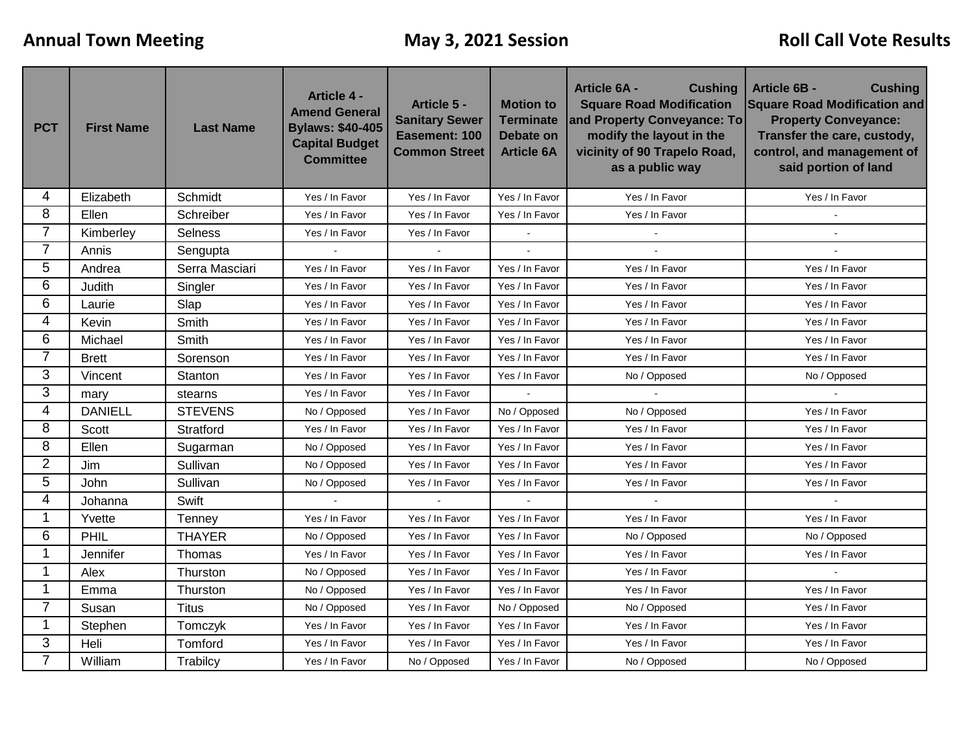| <b>PCT</b>     | <b>First Name</b> | <b>Last Name</b> | <b>Article 4 -</b><br><b>Amend General</b><br><b>Bylaws: \$40-405</b><br><b>Capital Budget</b><br><b>Committee</b> | Article 5 -<br><b>Sanitary Sewer</b><br>Easement: 100<br><b>Common Street</b> | <b>Motion to</b><br><b>Terminate</b><br><b>Debate on</b><br><b>Article 6A</b> | <b>Article 6A -</b><br><b>Cushing</b><br><b>Square Road Modification</b><br>and Property Conveyance: To<br>modify the layout in the<br>vicinity of 90 Trapelo Road,<br>as a public way | <b>Article 6B -</b><br><b>Cushing</b><br><b>Square Road Modification and</b><br><b>Property Conveyance:</b><br>Transfer the care, custody,<br>control, and management of<br>said portion of land |  |
|----------------|-------------------|------------------|--------------------------------------------------------------------------------------------------------------------|-------------------------------------------------------------------------------|-------------------------------------------------------------------------------|----------------------------------------------------------------------------------------------------------------------------------------------------------------------------------------|--------------------------------------------------------------------------------------------------------------------------------------------------------------------------------------------------|--|
| 4              | Elizabeth         | Schmidt          | Yes / In Favor                                                                                                     | Yes / In Favor                                                                | Yes / In Favor                                                                | Yes / In Favor                                                                                                                                                                         | Yes / In Favor                                                                                                                                                                                   |  |
| 8              | Ellen             | Schreiber        | Yes / In Favor                                                                                                     | Yes / In Favor                                                                | Yes / In Favor                                                                | Yes / In Favor                                                                                                                                                                         |                                                                                                                                                                                                  |  |
| 7              | Kimberley         | <b>Selness</b>   | Yes / In Favor                                                                                                     | Yes / In Favor                                                                |                                                                               |                                                                                                                                                                                        |                                                                                                                                                                                                  |  |
| 7              | Annis             | Sengupta         | $\mathbf{u}$                                                                                                       | $\sim$                                                                        | $\overline{a}$                                                                |                                                                                                                                                                                        |                                                                                                                                                                                                  |  |
| 5              | Andrea            | Serra Masciari   | Yes / In Favor                                                                                                     | Yes / In Favor                                                                | Yes / In Favor                                                                | Yes / In Favor                                                                                                                                                                         | Yes / In Favor                                                                                                                                                                                   |  |
| 6              | Judith            | Singler          | Yes / In Favor                                                                                                     | Yes / In Favor                                                                | Yes / In Favor                                                                | Yes / In Favor                                                                                                                                                                         | Yes / In Favor                                                                                                                                                                                   |  |
| 6              | Laurie            | Slap             | Yes / In Favor                                                                                                     | Yes / In Favor                                                                | Yes / In Favor                                                                | Yes / In Favor                                                                                                                                                                         | Yes / In Favor                                                                                                                                                                                   |  |
| 4              | Kevin             | Smith            | Yes / In Favor                                                                                                     | Yes / In Favor                                                                | Yes / In Favor                                                                | Yes / In Favor                                                                                                                                                                         | Yes / In Favor                                                                                                                                                                                   |  |
| 6              | Michael           | Smith            | Yes / In Favor                                                                                                     | Yes / In Favor                                                                | Yes / In Favor                                                                | Yes / In Favor                                                                                                                                                                         | Yes / In Favor                                                                                                                                                                                   |  |
| $\overline{7}$ | <b>Brett</b>      | Sorenson         | Yes / In Favor                                                                                                     | Yes / In Favor                                                                | Yes / In Favor                                                                | Yes / In Favor                                                                                                                                                                         | Yes / In Favor                                                                                                                                                                                   |  |
| 3              | Vincent           | Stanton          | Yes / In Favor                                                                                                     | Yes / In Favor                                                                | Yes / In Favor                                                                | No / Opposed                                                                                                                                                                           | No / Opposed                                                                                                                                                                                     |  |
| 3              | mary              | stearns          | Yes / In Favor                                                                                                     | Yes / In Favor                                                                |                                                                               |                                                                                                                                                                                        |                                                                                                                                                                                                  |  |
| 4              | <b>DANIELL</b>    | <b>STEVENS</b>   | No / Opposed                                                                                                       | Yes / In Favor                                                                | No / Opposed                                                                  | No / Opposed                                                                                                                                                                           | Yes / In Favor                                                                                                                                                                                   |  |
| 8              | Scott             | Stratford        | Yes / In Favor                                                                                                     | Yes / In Favor                                                                | Yes / In Favor                                                                | Yes / In Favor                                                                                                                                                                         | Yes / In Favor                                                                                                                                                                                   |  |
| 8              | Ellen             | Sugarman         | No / Opposed                                                                                                       | Yes / In Favor                                                                | Yes / In Favor                                                                | Yes / In Favor                                                                                                                                                                         | Yes / In Favor                                                                                                                                                                                   |  |
| 2              | Jim               | Sullivan         | No / Opposed                                                                                                       | Yes / In Favor                                                                | Yes / In Favor                                                                | Yes / In Favor                                                                                                                                                                         | Yes / In Favor                                                                                                                                                                                   |  |
| 5              | <b>John</b>       | Sullivan         | No / Opposed                                                                                                       | Yes / In Favor                                                                | Yes / In Favor                                                                | Yes / In Favor                                                                                                                                                                         | Yes / In Favor                                                                                                                                                                                   |  |
| 4              | Johanna           | Swift            |                                                                                                                    |                                                                               |                                                                               |                                                                                                                                                                                        |                                                                                                                                                                                                  |  |
| 1              | Yvette            | Tenney           | Yes / In Favor                                                                                                     | Yes / In Favor                                                                | Yes / In Favor                                                                | Yes / In Favor                                                                                                                                                                         | Yes / In Favor                                                                                                                                                                                   |  |
| 6              | PHIL              | <b>THAYER</b>    | No / Opposed                                                                                                       | Yes / In Favor                                                                | Yes / In Favor                                                                | No / Opposed                                                                                                                                                                           | No / Opposed                                                                                                                                                                                     |  |
| 1              | Jennifer          | Thomas           | Yes / In Favor                                                                                                     | Yes / In Favor                                                                | Yes / In Favor                                                                | Yes / In Favor                                                                                                                                                                         | Yes / In Favor                                                                                                                                                                                   |  |
|                | Alex              | Thurston         | No / Opposed                                                                                                       | Yes / In Favor                                                                | Yes / In Favor                                                                | Yes / In Favor                                                                                                                                                                         | $\blacksquare$                                                                                                                                                                                   |  |
| 1              | Emma              | Thurston         | No / Opposed                                                                                                       | Yes / In Favor                                                                | Yes / In Favor                                                                | Yes / In Favor                                                                                                                                                                         | Yes / In Favor                                                                                                                                                                                   |  |
| $\overline{7}$ | Susan             | <b>Titus</b>     | No / Opposed                                                                                                       | Yes / In Favor                                                                | No / Opposed                                                                  | No / Opposed                                                                                                                                                                           | Yes / In Favor                                                                                                                                                                                   |  |
| 1              | Stephen           | Tomczyk          | Yes / In Favor                                                                                                     | Yes / In Favor                                                                | Yes / In Favor                                                                | Yes / In Favor                                                                                                                                                                         | Yes / In Favor                                                                                                                                                                                   |  |
| 3              | Heli              | Tomford          | Yes / In Favor                                                                                                     | Yes / In Favor                                                                | Yes / In Favor                                                                | Yes / In Favor                                                                                                                                                                         | Yes / In Favor                                                                                                                                                                                   |  |
| 7              | William           | Trabilcy         | Yes / In Favor                                                                                                     | No / Opposed                                                                  | Yes / In Favor                                                                | No / Opposed                                                                                                                                                                           | No / Opposed                                                                                                                                                                                     |  |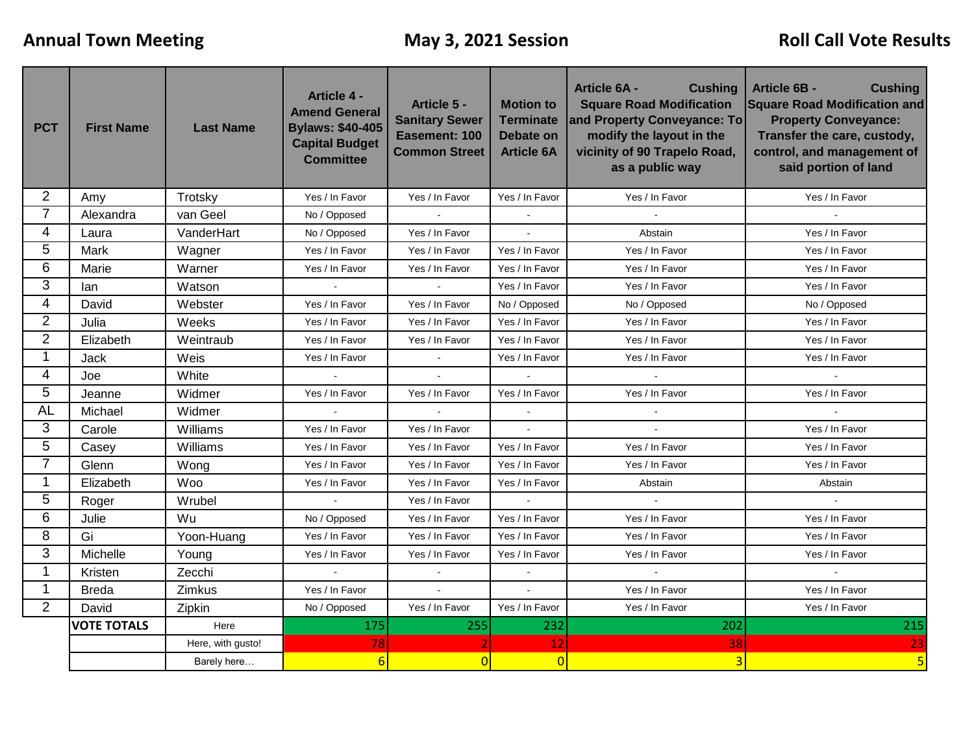| <b>PCT</b>     | <b>First Name</b>  | <b>Last Name</b>  | <b>Article 4 -</b><br><b>Amend General</b><br><b>Bylaws: \$40-405</b><br><b>Capital Budget</b><br><b>Committee</b> | Article 5 -<br><b>Sanitary Sewer</b><br>Easement: 100<br><b>Common Street</b> | <b>Motion to</b><br><b>Terminate</b><br>Debate on<br><b>Article 6A</b> | <b>Cushing</b><br><b>Article 6A -</b><br><b>Square Road Modification</b><br>and Property Conveyance: To<br>modify the layout in the<br>vicinity of 90 Trapelo Road,<br>as a public way | <b>Article 6B -</b><br><b>Cushing</b><br><b>Square Road Modification and</b><br><b>Property Conveyance:</b><br>Transfer the care, custody,<br>control, and management of<br>said portion of land |  |
|----------------|--------------------|-------------------|--------------------------------------------------------------------------------------------------------------------|-------------------------------------------------------------------------------|------------------------------------------------------------------------|----------------------------------------------------------------------------------------------------------------------------------------------------------------------------------------|--------------------------------------------------------------------------------------------------------------------------------------------------------------------------------------------------|--|
| $\overline{2}$ | Amy                | Trotsky           | Yes / In Favor                                                                                                     | Yes / In Favor                                                                | Yes / In Favor                                                         | Yes / In Favor                                                                                                                                                                         | Yes / In Favor                                                                                                                                                                                   |  |
| $\overline{7}$ | Alexandra          | van Geel          | No / Opposed                                                                                                       |                                                                               |                                                                        | $\sim$                                                                                                                                                                                 |                                                                                                                                                                                                  |  |
| $\overline{4}$ | Laura              | VanderHart        | No / Opposed                                                                                                       | Yes / In Favor                                                                | $\sim$                                                                 | Abstain                                                                                                                                                                                | Yes / In Favor                                                                                                                                                                                   |  |
| 5              | Mark               | Wagner            | Yes / In Favor                                                                                                     | Yes / In Favor                                                                | Yes / In Favor                                                         | Yes / In Favor                                                                                                                                                                         | Yes / In Favor                                                                                                                                                                                   |  |
| 6              | Marie              | Warner            | Yes / In Favor                                                                                                     | Yes / In Favor                                                                | Yes / In Favor                                                         | Yes / In Favor                                                                                                                                                                         | Yes / In Favor                                                                                                                                                                                   |  |
| 3              | lan                | Watson            |                                                                                                                    |                                                                               | Yes / In Favor                                                         | Yes / In Favor                                                                                                                                                                         | Yes / In Favor                                                                                                                                                                                   |  |
| $\overline{4}$ | David              | Webster           | Yes / In Favor                                                                                                     | Yes / In Favor                                                                | No / Opposed                                                           | No / Opposed                                                                                                                                                                           | No / Opposed                                                                                                                                                                                     |  |
| $\overline{2}$ | Julia              | Weeks             | Yes / In Favor                                                                                                     | Yes / In Favor                                                                | Yes / In Favor                                                         | Yes / In Favor                                                                                                                                                                         | Yes / In Favor                                                                                                                                                                                   |  |
| $\overline{2}$ | Elizabeth          | Weintraub         | Yes / In Favor                                                                                                     | Yes / In Favor                                                                | Yes / In Favor                                                         | Yes / In Favor                                                                                                                                                                         | Yes / In Favor                                                                                                                                                                                   |  |
| $\mathbf{1}$   | <b>Jack</b>        | Weis              | Yes / In Favor                                                                                                     | $\sim$                                                                        | Yes / In Favor                                                         | Yes / In Favor                                                                                                                                                                         | Yes / In Favor                                                                                                                                                                                   |  |
| 4              | Joe                | White             |                                                                                                                    |                                                                               |                                                                        |                                                                                                                                                                                        |                                                                                                                                                                                                  |  |
| 5              | Jeanne             | Widmer            | Yes / In Favor                                                                                                     | Yes / In Favor                                                                | Yes / In Favor                                                         | Yes / In Favor                                                                                                                                                                         | Yes / In Favor                                                                                                                                                                                   |  |
| <b>AL</b>      | Michael            | Widmer            | $\omega$                                                                                                           | $\mathcal{L}_{\mathcal{A}}$                                                   | $\blacksquare$                                                         | $\blacksquare$                                                                                                                                                                         | $\bullet$                                                                                                                                                                                        |  |
| 3              | Carole             | Williams          | Yes / In Favor                                                                                                     | Yes / In Favor                                                                | $\overline{a}$                                                         |                                                                                                                                                                                        | Yes / In Favor                                                                                                                                                                                   |  |
| 5              | Casey              | Williams          | Yes / In Favor                                                                                                     | Yes / In Favor                                                                | Yes / In Favor                                                         | Yes / In Favor                                                                                                                                                                         | Yes / In Favor                                                                                                                                                                                   |  |
| $\overline{7}$ | Glenn              | Wong              | Yes / In Favor                                                                                                     | Yes / In Favor                                                                | Yes / In Favor                                                         | Yes / In Favor                                                                                                                                                                         | Yes / In Favor                                                                                                                                                                                   |  |
| 1              | Elizabeth          | Woo               | Yes / In Favor                                                                                                     | Yes / In Favor                                                                | Yes / In Favor                                                         | Abstain                                                                                                                                                                                | Abstain                                                                                                                                                                                          |  |
| 5              | Roger              | Wrubel            | $\mathbf{r}$                                                                                                       | Yes / In Favor                                                                |                                                                        | $\mathbf{r}$                                                                                                                                                                           | $\sim$                                                                                                                                                                                           |  |
| 6              | Julie              | Wu                | No / Opposed                                                                                                       | Yes / In Favor                                                                | Yes / In Favor                                                         | Yes / In Favor                                                                                                                                                                         | Yes / In Favor                                                                                                                                                                                   |  |
| 8              | Gi                 | Yoon-Huang        | Yes / In Favor                                                                                                     | Yes / In Favor                                                                | Yes / In Favor                                                         | Yes / In Favor                                                                                                                                                                         | Yes / In Favor                                                                                                                                                                                   |  |
| 3              | Michelle           | Young             | Yes / In Favor                                                                                                     | Yes / In Favor                                                                | Yes / In Favor                                                         | Yes / In Favor                                                                                                                                                                         | Yes / In Favor                                                                                                                                                                                   |  |
| 1              | Kristen            | Zecchi            |                                                                                                                    |                                                                               | $\blacksquare$                                                         |                                                                                                                                                                                        |                                                                                                                                                                                                  |  |
| 1              | <b>Breda</b>       | Zimkus            | Yes / In Favor                                                                                                     | $\Delta \phi$                                                                 | $\mathbf{r}$                                                           | Yes / In Favor                                                                                                                                                                         | Yes / In Favor                                                                                                                                                                                   |  |
| $\overline{2}$ | David              | Zipkin            | No / Opposed                                                                                                       | Yes / In Favor                                                                | Yes / In Favor                                                         | Yes / In Favor                                                                                                                                                                         | Yes / In Favor                                                                                                                                                                                   |  |
|                | <b>VOTE TOTALS</b> | Here              | 175                                                                                                                | 255                                                                           | 232                                                                    | 202                                                                                                                                                                                    | 215                                                                                                                                                                                              |  |
|                |                    | Here, with gusto! | 78                                                                                                                 |                                                                               | 12                                                                     | 38                                                                                                                                                                                     | 23                                                                                                                                                                                               |  |
|                |                    | Barely here       | $6\overline{6}$                                                                                                    | $\overline{0}$                                                                | $\overline{0}$                                                         | $\overline{3}$                                                                                                                                                                         | $\overline{5}$                                                                                                                                                                                   |  |